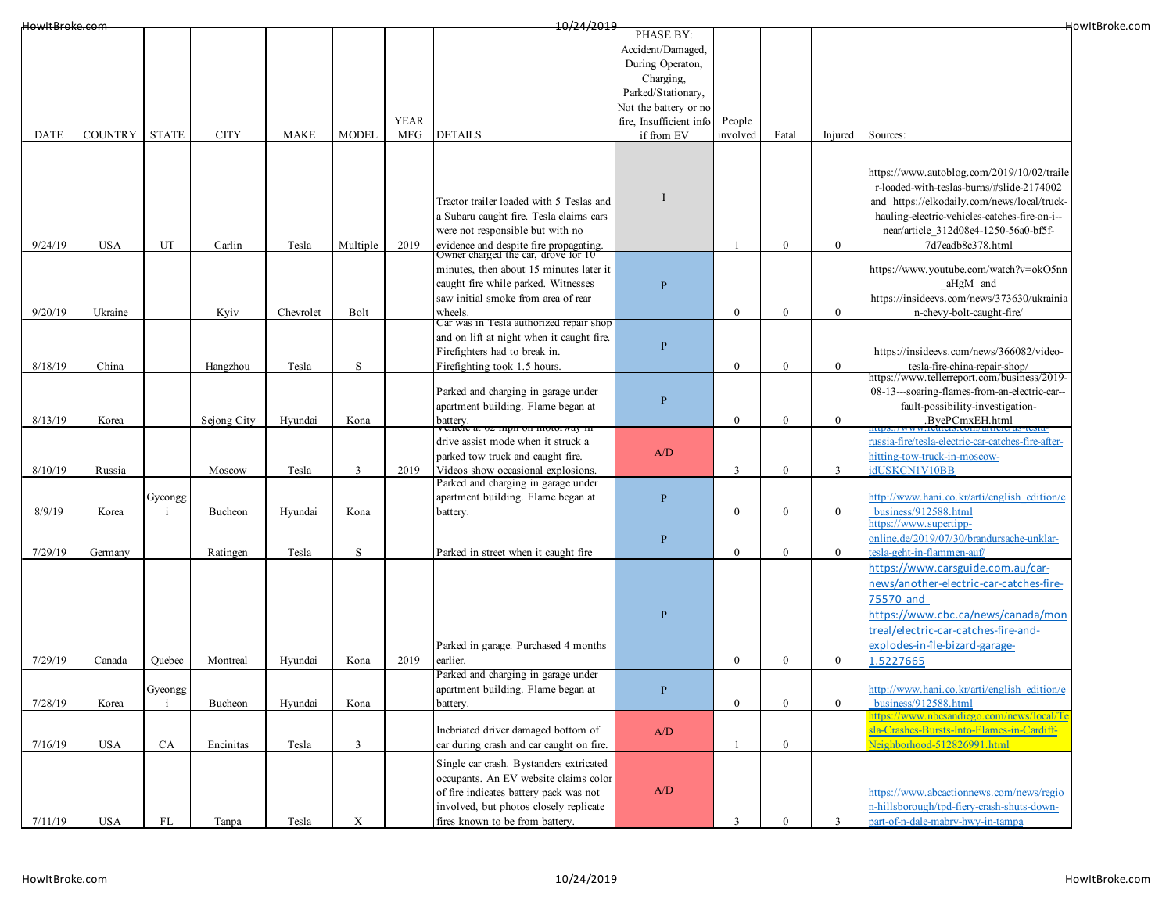| HowItBroke.com |                |               |             |             |              |             | 10/24/2019                                                                    |                         |              |                  |              |                                                                              | HowItBroke.com |
|----------------|----------------|---------------|-------------|-------------|--------------|-------------|-------------------------------------------------------------------------------|-------------------------|--------------|------------------|--------------|------------------------------------------------------------------------------|----------------|
|                |                |               |             |             |              |             |                                                                               | PHASE BY:               |              |                  |              |                                                                              |                |
|                |                |               |             |             |              |             |                                                                               | Accident/Damaged,       |              |                  |              |                                                                              |                |
|                |                |               |             |             |              |             |                                                                               | During Operaton,        |              |                  |              |                                                                              |                |
|                |                |               |             |             |              |             |                                                                               | Charging,               |              |                  |              |                                                                              |                |
|                |                |               |             |             |              |             |                                                                               | Parked/Stationary,      |              |                  |              |                                                                              |                |
|                |                |               |             |             |              |             |                                                                               | Not the battery or no   |              |                  |              |                                                                              |                |
|                |                |               |             |             |              | <b>YEAR</b> |                                                                               |                         | People       |                  |              |                                                                              |                |
|                |                |               |             |             |              |             |                                                                               | fire, Insufficient info |              |                  |              |                                                                              |                |
| <b>DATE</b>    | <b>COUNTRY</b> | <b>STATE</b>  | <b>CITY</b> | <b>MAKE</b> | <b>MODEL</b> | MFG         | <b>DETAILS</b>                                                                | if from EV              | involved     | Fatal            | Injured      | Sources:                                                                     |                |
|                |                |               |             |             |              |             |                                                                               |                         |              |                  |              |                                                                              |                |
|                |                |               |             |             |              |             |                                                                               |                         |              |                  |              | https://www.autoblog.com/2019/10/02/traile                                   |                |
|                |                |               |             |             |              |             |                                                                               |                         |              |                  |              | r-loaded-with-teslas-burns/#slide-2174002                                    |                |
|                |                |               |             |             |              |             |                                                                               |                         |              |                  |              |                                                                              |                |
|                |                |               |             |             |              |             | Tractor trailer loaded with 5 Teslas and                                      |                         |              |                  |              | and https://elkodaily.com/news/local/truck-                                  |                |
|                |                |               |             |             |              |             | a Subaru caught fire. Tesla claims cars                                       |                         |              |                  |              | hauling-electric-vehicles-catches-fire-on-i--                                |                |
|                |                |               |             |             |              |             | were not responsible but with no                                              |                         |              |                  |              | near/article 312d08e4-1250-56a0-bf5f-                                        |                |
| 9/24/19        | <b>USA</b>     | UT            | Carlin      | Tesla       | Multiple     | 2019        | evidence and despite fire propagating.<br>Owner charged the car, drove for 10 |                         |              | $\boldsymbol{0}$ | $\bf{0}$     | 7d7eadb8c378.html                                                            |                |
|                |                |               |             |             |              |             |                                                                               |                         |              |                  |              |                                                                              |                |
|                |                |               |             |             |              |             | minutes, then about 15 minutes later it                                       |                         |              |                  |              | https://www.youtube.com/watch?v=okO5nn                                       |                |
|                |                |               |             |             |              |             | caught fire while parked. Witnesses                                           | $\overline{P}$          |              |                  |              | aHgM and                                                                     |                |
|                |                |               |             |             |              |             | saw initial smoke from area of rear                                           |                         |              |                  |              | https://insideevs.com/news/373630/ukrainia                                   |                |
| 9/20/19        | Ukraine        |               | Kyiv        | Chevrolet   | Bolt         |             | wheels.                                                                       |                         | $\mathbf{0}$ | $\boldsymbol{0}$ | $\mathbf{0}$ | n-chevy-bolt-caught-fire/                                                    |                |
|                |                |               |             |             |              |             | Car was in Tesla authorized repair shop                                       |                         |              |                  |              |                                                                              |                |
|                |                |               |             |             |              |             | and on lift at night when it caught fire.                                     |                         |              |                  |              |                                                                              |                |
|                |                |               |             |             |              |             | Firefighters had to break in.                                                 | $\overline{P}$          |              |                  |              | https://insideevs.com/news/366082/video-                                     |                |
| 8/18/19        | China          |               | Hangzhou    | Tesla       | $\mathbf S$  |             | Firefighting took 1.5 hours.                                                  |                         | $\mathbf{0}$ | $\boldsymbol{0}$ | $\mathbf{0}$ |                                                                              |                |
|                |                |               |             |             |              |             |                                                                               |                         |              |                  |              | tesla-fire-china-repair-shop/<br>https://www.tellerreport.com/business/2019- |                |
|                |                |               |             |             |              |             | Parked and charging in garage under                                           |                         |              |                  |              | 08-13---soaring-flames-from-an-electric-car--                                |                |
|                |                |               |             |             |              |             | apartment building. Flame began at                                            | P                       |              |                  |              | fault-possibility-investigation-                                             |                |
| 8/13/19        | Korea          |               | Sejong City | Hyundai     | Kona         |             | battery.                                                                      |                         | $\theta$     | $\bf{0}$         | $\mathbf{0}$ | .ByePCmxEH.html                                                              |                |
|                |                |               |             |             |              |             | emere at 02 mpn on motorway m                                                 |                         |              |                  |              |                                                                              |                |
|                |                |               |             |             |              |             | drive assist mode when it struck a                                            |                         |              |                  |              | ussia-fire/tesla-electric-car-catches-fire-after-                            |                |
|                |                |               |             |             |              |             | parked tow truck and caught fire.                                             | A/D                     |              |                  |              | hitting-tow-truck-in-moscow-                                                 |                |
| 8/10/19        | Russia         |               | Moscow      | Tesla       | 3            | 2019        | Videos show occasional explosions.                                            |                         | 3            | $\boldsymbol{0}$ | 3            | dUSKCN1V10BB                                                                 |                |
|                |                |               |             |             |              |             | Parked and charging in garage under                                           |                         |              |                  |              |                                                                              |                |
|                |                | Gyeongg       |             |             |              |             | apartment building. Flame began at                                            | $\, {\bf P}$            |              |                  |              | http://www.hani.co.kr/arti/english edition/e                                 |                |
| 8/9/19         | Korea          |               | Bucheon     | Hyundai     | Kona         |             | battery.                                                                      |                         | $\theta$     | $\boldsymbol{0}$ | $\mathbf{0}$ | business/912588.html                                                         |                |
|                |                |               |             |             |              |             |                                                                               |                         |              |                  |              | ttps://www.supertipp-                                                        |                |
|                |                |               |             |             |              |             |                                                                               | $\mathbf{P}$            |              |                  |              | online.de/2019/07/30/brandursache-unklar-                                    |                |
| 7/29/19        | Germany        |               | Ratingen    | Tesla       | $\mathbf S$  |             | Parked in street when it caught fire                                          |                         | $\mathbf{0}$ | $\overline{0}$   | $\mathbf{0}$ | tesla-geht-in-flammen-auf/                                                   |                |
|                |                |               |             |             |              |             |                                                                               |                         |              |                  |              | https://www.carsguide.com.au/car-                                            |                |
|                |                |               |             |             |              |             |                                                                               |                         |              |                  |              | news/another-electric-car-catches-fire-                                      |                |
|                |                |               |             |             |              |             |                                                                               |                         |              |                  |              |                                                                              |                |
|                |                |               |             |             |              |             |                                                                               |                         |              |                  |              | 75570 and                                                                    |                |
|                |                |               |             |             |              |             |                                                                               | $\overline{P}$          |              |                  |              | https://www.cbc.ca/news/canada/mon                                           |                |
|                |                |               |             |             |              |             |                                                                               |                         |              |                  |              | treal/electric-car-catches-fire-and-                                         |                |
|                |                |               |             |             |              |             | Parked in garage. Purchased 4 months                                          |                         |              |                  |              | explodes-in-île-bizard-garage-                                               |                |
| 7/29/19        | Canada         | Quebec        | Montreal    | Hyundai     | Kona         | 2019        | earlier.                                                                      |                         | $\mathbf{0}$ | $\boldsymbol{0}$ | $\mathbf{0}$ | .5227665                                                                     |                |
|                |                |               |             |             |              |             | Parked and charging in garage under                                           |                         |              |                  |              |                                                                              |                |
|                |                |               |             |             |              |             |                                                                               |                         |              |                  |              |                                                                              |                |
|                |                | Gyeongg<br>j. |             |             |              |             | apartment building. Flame began at                                            | P                       |              |                  |              | http://www.hani.co.kr/arti/english edition/e                                 |                |
| 7/28/19        | Korea          |               | Bucheon     | Hyundai     | Kona         |             | battery.                                                                      |                         | $\mathbf{0}$ | $\boldsymbol{0}$ | $\mathbf{0}$ | business/912588.html<br>nttps://www.nbcsandiego.com/news/local/Te            |                |
|                |                |               |             |             |              |             | Inebriated driver damaged bottom of                                           |                         |              |                  |              | sla-Crashes-Bursts-Into-Flames-in-Cardiff-                                   |                |
|                |                |               |             |             |              |             |                                                                               | A/D                     |              |                  |              |                                                                              |                |
| 7/16/19        | <b>USA</b>     | <b>CA</b>     | Encinitas   | Tesla       | 3            |             | car during crash and car caught on fire.                                      |                         |              | $\mathbf{0}$     |              | Neighborhood-512826991.html                                                  |                |
|                |                |               |             |             |              |             | Single car crash. Bystanders extricated                                       |                         |              |                  |              |                                                                              |                |
|                |                |               |             |             |              |             | occupants. An EV website claims color                                         |                         |              |                  |              |                                                                              |                |
|                |                |               |             |             |              |             | of fire indicates battery pack was not                                        | A/D                     |              |                  |              | https://www.abcactionnews.com/news/regio                                     |                |
|                |                |               |             |             |              |             | involved, but photos closely replicate                                        |                         |              |                  |              | n-hillsborough/tpd-fiery-crash-shuts-down-                                   |                |
| 7/11/19        | USA            | FL            | Tanpa       | Tesla       | X            |             | fires known to be from battery.                                               |                         | 3            | $\boldsymbol{0}$ | 3            | part-of-n-dale-mabry-hwy-in-tampa                                            |                |
|                |                |               |             |             |              |             |                                                                               |                         |              |                  |              |                                                                              |                |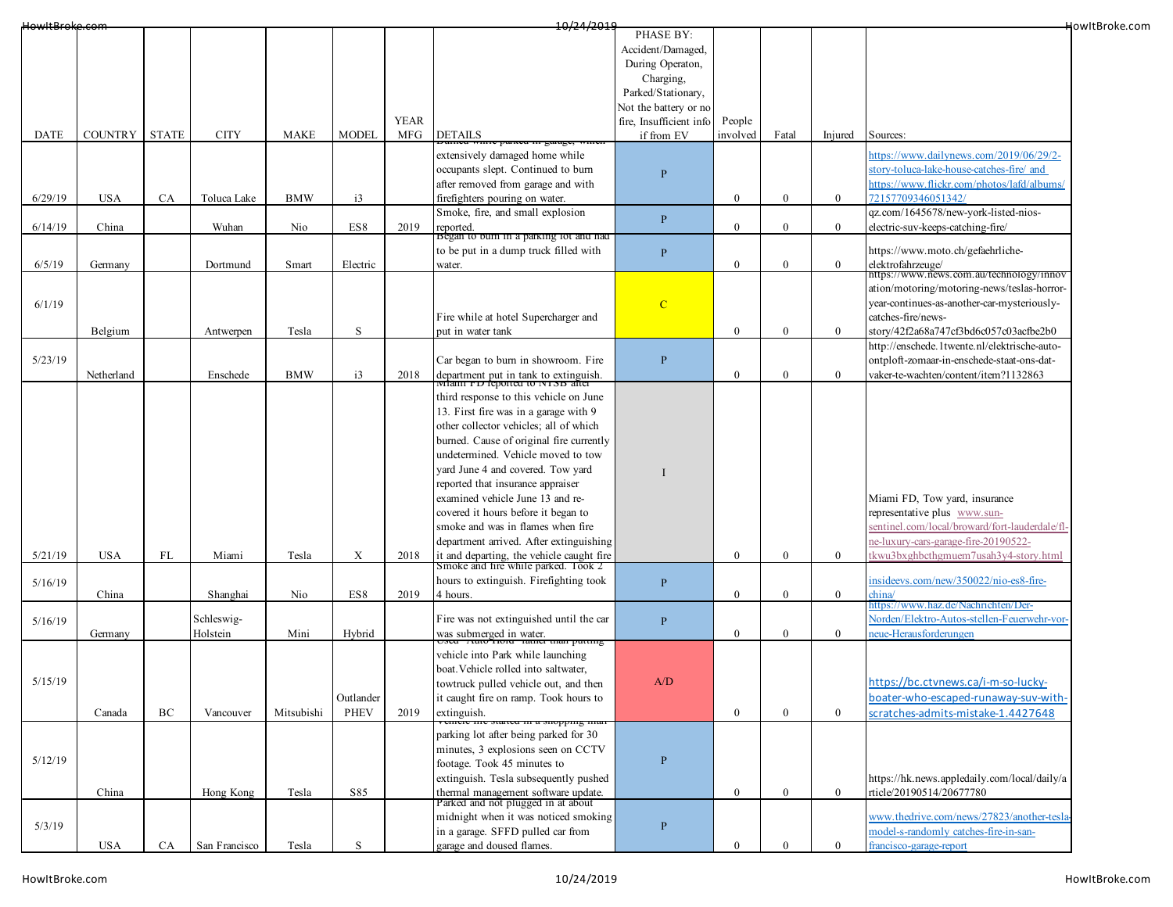| HowItBroke.com |                |              |               |             |                 |             | 10/24/2019                                                                       |                         |                  |                  |                |                                                               | HowItBroke.com |
|----------------|----------------|--------------|---------------|-------------|-----------------|-------------|----------------------------------------------------------------------------------|-------------------------|------------------|------------------|----------------|---------------------------------------------------------------|----------------|
|                |                |              |               |             |                 |             |                                                                                  | PHASE BY:               |                  |                  |                |                                                               |                |
|                |                |              |               |             |                 |             |                                                                                  | Accident/Damaged,       |                  |                  |                |                                                               |                |
|                |                |              |               |             |                 |             |                                                                                  | During Operaton,        |                  |                  |                |                                                               |                |
|                |                |              |               |             |                 |             |                                                                                  | Charging,               |                  |                  |                |                                                               |                |
|                |                |              |               |             |                 |             |                                                                                  | Parked/Stationary,      |                  |                  |                |                                                               |                |
|                |                |              |               |             |                 |             |                                                                                  | Not the battery or no   |                  |                  |                |                                                               |                |
|                |                |              |               |             |                 | <b>YEAR</b> |                                                                                  | fire, Insufficient info | People           |                  |                |                                                               |                |
| DATE           | <b>COUNTRY</b> | <b>STATE</b> | <b>CITY</b>   | <b>MAKE</b> | <b>MODEL</b>    | <b>MFG</b>  | <b>DETAILS</b>                                                                   | if from EV              | involved         | Fatal            | Injured        | Sources:                                                      |                |
|                |                |              |               |             |                 |             | extensively damaged home while                                                   |                         |                  |                  |                | attps://www.dailynews.com/2019/06/29/2-                       |                |
|                |                |              |               |             |                 |             | occupants slept. Continued to burn                                               |                         |                  |                  |                | story-toluca-lake-house-catches-fire/and                      |                |
|                |                |              |               |             |                 |             |                                                                                  | $\overline{P}$          |                  |                  |                | https://www.flickr.com/photos/lafd/albums/                    |                |
|                |                |              |               |             |                 |             | after removed from garage and with                                               |                         |                  |                  |                |                                                               |                |
| 6/29/19        | <b>USA</b>     | CA           | Toluca Lake   | <b>BMW</b>  | i3              |             | firefighters pouring on water.                                                   |                         | $\theta$         | $\mathbf{0}$     | $\overline{0}$ | 72157709346051342/                                            |                |
|                |                |              |               |             |                 |             | Smoke, fire, and small explosion                                                 | $\, {\bf P}$            |                  |                  |                | qz.com/1645678/new-york-listed-nios-                          |                |
| 6/14/19        | China          |              | Wuhan         | Nio         | ES8             | 2019        | reported.<br>Began to burn in a parking lot and had                              |                         | $\mathbf{0}$     | $\mathbf{0}$     | $\overline{0}$ | electric-suv-keeps-catching-fire/                             |                |
|                |                |              |               |             |                 |             | to be put in a dump truck filled with                                            |                         |                  |                  |                | https://www.moto.ch/gefaehrliche-                             |                |
|                |                |              |               |             |                 |             |                                                                                  | $\mathbf{P}$            |                  |                  |                |                                                               |                |
| 6/5/19         | Germany        |              | Dortmund      | Smart       | Electric        |             | water.                                                                           |                         | $\boldsymbol{0}$ | $\mathbf{0}$     | $\overline{0}$ | elektrofahrzeuge/<br>https://www.news.com.au/technology/innov |                |
|                |                |              |               |             |                 |             |                                                                                  |                         |                  |                  |                | ation/motoring/motoring-news/teslas-horror-                   |                |
| 6/1/19         |                |              |               |             |                 |             |                                                                                  | $\mathbf C$             |                  |                  |                | year-continues-as-another-car-mysteriously-                   |                |
|                |                |              |               |             |                 |             | Fire while at hotel Supercharger and                                             |                         |                  |                  |                | catches-fire/news-                                            |                |
|                |                |              |               |             |                 |             |                                                                                  |                         | $\theta$         |                  |                |                                                               |                |
|                | Belgium        |              | Antwerpen     | Tesla       | S               |             | put in water tank                                                                |                         |                  | $\mathbf{0}$     | $\overline{0}$ | story/42f2a68a747cf3bd6c057c03acfbe2b0                        |                |
|                |                |              |               |             |                 |             |                                                                                  |                         |                  |                  |                | http://enschede.1twente.nl/elektrische-auto-                  |                |
| 5/23/19        |                |              |               |             |                 |             | Car began to burn in showroom. Fire                                              | $\, {\bf P}$            |                  |                  |                | ontploft-zomaar-in-enschede-staat-ons-dat-                    |                |
|                | Netherland     |              | Enschede      | <b>BMW</b>  | $\overline{13}$ | 2018        | department put in tank to extinguish.<br>Milami FD reported to NTSB after        |                         | $\mathbf{0}$     | $\Omega$         | $\mathbf{0}$   | vaker-te-wachten/content/item?1132863                         |                |
|                |                |              |               |             |                 |             | third response to this vehicle on June                                           |                         |                  |                  |                |                                                               |                |
|                |                |              |               |             |                 |             |                                                                                  |                         |                  |                  |                |                                                               |                |
|                |                |              |               |             |                 |             | 13. First fire was in a garage with 9                                            |                         |                  |                  |                |                                                               |                |
|                |                |              |               |             |                 |             | other collector vehicles; all of which                                           |                         |                  |                  |                |                                                               |                |
|                |                |              |               |             |                 |             | burned. Cause of original fire currently                                         |                         |                  |                  |                |                                                               |                |
|                |                |              |               |             |                 |             | undetermined. Vehicle moved to tow                                               |                         |                  |                  |                |                                                               |                |
|                |                |              |               |             |                 |             | yard June 4 and covered. Tow yard                                                | I                       |                  |                  |                |                                                               |                |
|                |                |              |               |             |                 |             | reported that insurance appraiser                                                |                         |                  |                  |                |                                                               |                |
|                |                |              |               |             |                 |             | examined vehicle June 13 and re-                                                 |                         |                  |                  |                | Miami FD, Tow yard, insurance                                 |                |
|                |                |              |               |             |                 |             | covered it hours before it began to                                              |                         |                  |                  |                | representative plus www.sun-                                  |                |
|                |                |              |               |             |                 |             | smoke and was in flames when fire                                                |                         |                  |                  |                | sentinel.com/local/broward/fort-lauderdale/fl-                |                |
|                |                |              |               |             |                 |             | department arrived. After extinguishing                                          |                         |                  |                  |                | ne-luxury-cars-garage-fire-20190522-                          |                |
| 5/21/19        | <b>USA</b>     | FL           | Miami         | Tesla       | X               | 2018        |                                                                                  |                         | $\Omega$         | $\bf{0}$         | $\mathbf{0}$   | kwu3bxghbcthgmuem7usah3y4-story.html                          |                |
|                |                |              |               |             |                 |             | it and departing, the vehicle caught fire<br>Smoke and fire while parked. Took 2 |                         |                  |                  |                |                                                               |                |
| 5/16/19        |                |              |               |             |                 |             | hours to extinguish. Firefighting took                                           | $\, {\bf P}$            |                  |                  |                | insideevs.com/new/350022/nio-es8-fire-                        |                |
|                | China          |              | Shanghai      | Nio         | ES8             | 2019        | 4 hours.                                                                         |                         | $\mathbf{0}$     | $\mathbf{0}$     | $\overline{0}$ | china/                                                        |                |
|                |                |              |               |             |                 |             |                                                                                  |                         |                  |                  |                | -ttps://www.haz.de/Nachrichten/Der                            |                |
| 5/16/19        |                |              | Schleswig-    |             |                 |             | Fire was not extinguished until the car                                          | $\mathbf{P}$            |                  |                  |                | Norden/Elektro-Autos-stellen-Feuerwehr-vor-                   |                |
|                | Germany        |              | Holstein      | Mini        | Hybrid          |             | was submerged in water.<br>Useu Auto Trong Tamer man putting                     |                         | $\mathbf{0}$     | $\mathbf{0}$     | $\overline{0}$ | eue-Herausforderungen                                         |                |
|                |                |              |               |             |                 |             |                                                                                  |                         |                  |                  |                |                                                               |                |
|                |                |              |               |             |                 |             | vehicle into Park while launching                                                |                         |                  |                  |                |                                                               |                |
|                |                |              |               |             |                 |             | boat. Vehicle rolled into saltwater,                                             |                         |                  |                  |                |                                                               |                |
| 5/15/19        |                |              |               |             |                 |             | towtruck pulled vehicle out, and then                                            | A/D                     |                  |                  |                | https://bc.ctvnews.ca/i-m-so-lucky-                           |                |
|                |                |              |               |             | Outlander       |             | it caught fire on ramp. Took hours to                                            |                         |                  |                  |                | boater-who-escaped-runaway-suv-with-                          |                |
|                | Canada         | BC           | Vancouver     | Mitsubishi  | <b>PHEV</b>     | 2019        | extinguish.                                                                      |                         | $\mathbf{0}$     | $\mathbf{0}$     | $\overline{0}$ | scratches-admits-mistake-1.4427648                            |                |
|                |                |              |               |             |                 |             | . <del>eu m a snopping ma</del>                                                  |                         |                  |                  |                |                                                               |                |
|                |                |              |               |             |                 |             | parking lot after being parked for 30                                            |                         |                  |                  |                |                                                               |                |
|                |                |              |               |             |                 |             | minutes, 3 explosions seen on CCTV                                               |                         |                  |                  |                |                                                               |                |
| 5/12/19        |                |              |               |             |                 |             | footage. Took 45 minutes to                                                      | $\, {\bf P}$            |                  |                  |                |                                                               |                |
|                |                |              |               |             |                 |             | extinguish. Tesla subsequently pushed                                            |                         |                  |                  |                | https://hk.news.appledaily.com/local/daily/a                  |                |
|                | China          |              | Hong Kong     | Tesla       | S85             |             | thermal management software update.<br>Parked and not plugged in at about        |                         | $\overline{0}$   | $\boldsymbol{0}$ | $\overline{0}$ | rticle/20190514/20677780                                      |                |
|                |                |              |               |             |                 |             |                                                                                  |                         |                  |                  |                |                                                               |                |
| 5/3/19         |                |              |               |             |                 |             | midnight when it was noticed smoking                                             | ${\bf P}$               |                  |                  |                | www.thedrive.com/news/27823/another-tesla                     |                |
|                |                |              |               |             |                 |             | in a garage. SFFD pulled car from                                                |                         |                  |                  |                | model-s-randomly catches-fire-in-san-                         |                |
|                | <b>USA</b>     | CA           | San Francisco | Tesla       | S               |             | garage and doused flames.                                                        |                         | $\mathbf{0}$     |                  | $\mathbf{0}$   | francisco-garage-report                                       |                |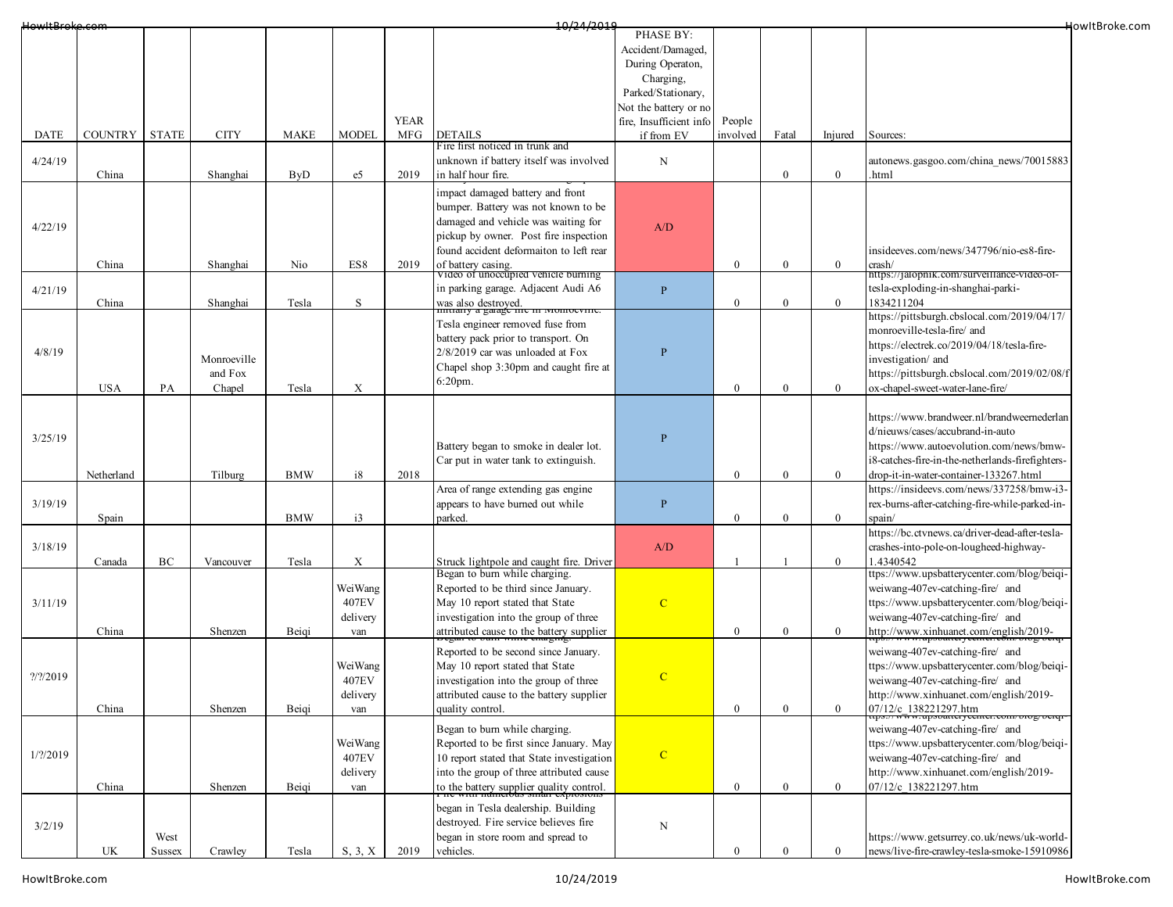| HowItBroke.com     |                |              |             |             |                           |             | 10/24/2019                                                           |                         |                |              |                  |                                                          | HowItBroke.com |
|--------------------|----------------|--------------|-------------|-------------|---------------------------|-------------|----------------------------------------------------------------------|-------------------------|----------------|--------------|------------------|----------------------------------------------------------|----------------|
|                    |                |              |             |             |                           |             |                                                                      | PHASE BY:               |                |              |                  |                                                          |                |
|                    |                |              |             |             |                           |             |                                                                      | Accident/Damaged,       |                |              |                  |                                                          |                |
|                    |                |              |             |             |                           |             |                                                                      | During Operaton,        |                |              |                  |                                                          |                |
|                    |                |              |             |             |                           |             |                                                                      | Charging,               |                |              |                  |                                                          |                |
|                    |                |              |             |             |                           |             |                                                                      | Parked/Stationary,      |                |              |                  |                                                          |                |
|                    |                |              |             |             |                           |             |                                                                      | Not the battery or no   |                |              |                  |                                                          |                |
|                    |                |              |             |             |                           | <b>YEAR</b> |                                                                      | fire, Insufficient info | People         |              |                  |                                                          |                |
| DATE               | <b>COUNTRY</b> | <b>STATE</b> | <b>CITY</b> | <b>MAKE</b> | <b>MODEL</b>              | MFG         | <b>DETAILS</b>                                                       | if from EV              | involved       | Fatal        | Injured          | Sources:                                                 |                |
|                    |                |              |             |             |                           |             | Fire first noticed in trunk and                                      |                         |                |              |                  |                                                          |                |
| 4/24/19            |                |              |             |             |                           |             | unknown if battery itself was involved                               | $\mathbf N$             |                |              |                  | autonews.gasgoo.com/china news/70015883                  |                |
|                    | China          |              | Shanghai    | <b>ByD</b>  | e5                        | 2019        | in half hour fire.                                                   |                         |                | $\theta$     | $\mathbf{0}$     | .html                                                    |                |
|                    |                |              |             |             |                           |             | impact damaged battery and front                                     |                         |                |              |                  |                                                          |                |
|                    |                |              |             |             |                           |             | bumper. Battery was not known to be                                  |                         |                |              |                  |                                                          |                |
| 4/22/19            |                |              |             |             |                           |             | damaged and vehicle was waiting for                                  | A/D                     |                |              |                  |                                                          |                |
|                    |                |              |             |             |                           |             | pickup by owner. Post fire inspection                                |                         |                |              |                  |                                                          |                |
|                    |                |              |             |             |                           |             | found accident deformaiton to left rear                              |                         |                |              |                  | insideeves.com/news/347796/nio-es8-fire-                 |                |
|                    | China          |              | Shanghai    | Nio         | ES8                       | 2019        | of battery casing.                                                   |                         | $\theta$       | $\mathbf{0}$ | $\overline{0}$   | crash/                                                   |                |
|                    |                |              |             |             |                           |             | Video of unoccupied vehicle burning                                  |                         |                |              |                  | https://jalopnik.com/surveillance-video-of-              |                |
| 4/21/19            |                |              |             |             |                           |             | in parking garage. Adjacent Audi A6                                  | $\, {\bf P}$            |                |              |                  | tesla-exploding-in-shanghai-parki-                       |                |
|                    | China          |              | Shanghai    | Tesla       | S                         |             | was also destroyed.                                                  |                         | $\mathbf{0}$   | $\bf{0}$     | $\overline{0}$   | 1834211204                                               |                |
|                    |                |              |             |             |                           |             | Tesla engineer removed fuse from                                     |                         |                |              |                  | https://pittsburgh.cbslocal.com/2019/04/17/              |                |
|                    |                |              |             |             |                           |             | battery pack prior to transport. On                                  |                         |                |              |                  | monroeville-tesla-fire/ and                              |                |
|                    |                |              |             |             |                           |             |                                                                      |                         |                |              |                  | https://electrek.co/2019/04/18/tesla-fire-               |                |
| 4/8/19             |                |              | Monroeville |             |                           |             | $2/8/2019$ car was unloaded at Fox                                   | ${\bf P}$               |                |              |                  | investigation/ and                                       |                |
|                    |                |              | and Fox     |             |                           |             | Chapel shop 3:30pm and caught fire at                                |                         |                |              |                  | https://pittsburgh.cbslocal.com/2019/02/08/f             |                |
|                    | <b>USA</b>     | PA           | Chapel      | Tesla       | $\boldsymbol{\mathrm{X}}$ |             | $6:20$ pm.                                                           |                         | $\overline{0}$ | $\mathbf{0}$ | $\mathbf{0}$     | ox-chapel-sweet-water-lane-fire/                         |                |
|                    |                |              |             |             |                           |             |                                                                      |                         |                |              |                  |                                                          |                |
|                    |                |              |             |             |                           |             |                                                                      |                         |                |              |                  | https://www.brandweer.nl/brandweernederlan               |                |
|                    |                |              |             |             |                           |             |                                                                      |                         |                |              |                  | d/nieuws/cases/accubrand-in-auto                         |                |
| 3/25/19            |                |              |             |             |                           |             | Battery began to smoke in dealer lot.                                | $\, {\bf P}$            |                |              |                  | https://www.autoevolution.com/news/bmw-                  |                |
|                    |                |              |             |             |                           |             | Car put in water tank to extinguish.                                 |                         |                |              |                  | i8-catches-fire-in-the-netherlands-firefighters-         |                |
|                    |                |              |             |             | i8                        |             |                                                                      |                         | $\overline{0}$ |              |                  | drop-it-in-water-container-133267.html                   |                |
|                    | Netherland     |              | Tilburg     | <b>BMW</b>  |                           | 2018        |                                                                      |                         |                | $\mathbf{0}$ | $\overline{0}$   | https://insideevs.com/news/337258/bmw-i3-                |                |
|                    |                |              |             |             |                           |             | Area of range extending gas engine                                   |                         |                |              |                  |                                                          |                |
| 3/19/19            |                |              |             |             |                           |             | appears to have burned out while                                     | $\mathbf{P}$            |                | $\theta$     | $\overline{0}$   | rex-burns-after-catching-fire-while-parked-in-           |                |
|                    | Spain          |              |             | <b>BMW</b>  | i3                        |             | parked.                                                              |                         | $\overline{0}$ |              |                  | spain/                                                   |                |
|                    |                |              |             |             |                           |             |                                                                      |                         |                |              |                  | https://bc.ctvnews.ca/driver-dead-after-tesla-           |                |
| 3/18/19            |                |              |             |             |                           |             |                                                                      | A/D                     |                |              |                  | crashes-into-pole-on-lougheed-highway-                   |                |
|                    | Canada         | BC           | Vancouver   | Tesla       | $\boldsymbol{\mathrm{X}}$ |             | Struck lightpole and caught fire. Driver                             |                         | $\overline{1}$ |              | $\overline{0}$   | 1.4340542<br>ttps://www.upsbatterycenter.com/blog/beiqi- |                |
|                    |                |              |             |             | WeiWang                   |             | Began to burn while charging.<br>Reported to be third since January. |                         |                |              |                  | weiwang-407ev-catching-fire/ and                         |                |
|                    |                |              |             |             |                           |             |                                                                      |                         |                |              |                  |                                                          |                |
| 3/11/19            |                |              |             |             | 407EV                     |             | May 10 report stated that State                                      | $\overline{C}$          |                |              |                  | ttps://www.upsbatterycenter.com/blog/beiqi-              |                |
|                    |                |              |             |             | delivery                  |             | investigation into the group of three                                |                         |                |              |                  | weiwang-407ev-catching-fire/ and                         |                |
|                    | China          |              | Shenzen     | Beigi       | van                       |             | attributed cause to the battery supplier                             |                         | $\mathbf{0}$   | $\bf{0}$     | $\mathbf{0}$     | http://www.xinhuanet.com/english/2019-                   |                |
|                    |                |              |             |             |                           |             | Reported to be second since January.                                 |                         |                |              |                  | weiwang-407ev-catching-fire/ and                         |                |
|                    |                |              |             |             | WeiWang                   |             | May 10 report stated that State                                      |                         |                |              |                  | ttps://www.upsbatterycenter.com/blog/beiqi-              |                |
| $\frac{2}{2}$ 2019 |                |              |             |             | 407EV                     |             | investigation into the group of three                                | $\mathbf C$             |                |              |                  | weiwang-407ev-catching-fire/ and                         |                |
|                    |                |              |             |             | delivery                  |             | attributed cause to the battery supplier                             |                         |                |              |                  | http://www.xinhuanet.com/english/2019-                   |                |
|                    | China          |              | Shenzen     | Beiqi       | van                       |             | quality control.                                                     |                         | $\mathbf{0}$   | $\theta$     | $\overline{0}$   | 07/12/c 138221297.htm                                    |                |
|                    |                |              |             |             |                           |             |                                                                      |                         |                |              |                  |                                                          |                |
|                    |                |              |             |             |                           |             | Began to burn while charging.                                        |                         |                |              |                  | weiwang-407ev-catching-fire/ and                         |                |
|                    |                |              |             |             | WeiWang                   |             | Reported to be first since January. May                              | $\mathbf C$             |                |              |                  | ttps://www.upsbatterycenter.com/blog/beigi-              |                |
| 1/2/2019           |                |              |             |             | 407EV                     |             | 10 report stated that State investigation                            |                         |                |              |                  | weiwang-407ev-catching-fire/ and                         |                |
|                    |                |              |             |             | delivery                  |             | into the group of three attributed cause                             |                         |                |              |                  | http://www.xinhuanet.com/english/2019-                   |                |
|                    | China          |              | Shenzen     | Beiqi       | van                       |             | to the battery supplier quality control.                             |                         | $\mathbf{0}$   | $\bf{0}$     | $\boldsymbol{0}$ | 07/12/c 138221297.htm                                    |                |
|                    |                |              |             |             |                           |             | began in Tesla dealership. Building                                  |                         |                |              |                  |                                                          |                |
|                    |                |              |             |             |                           |             | destroyed. Fire service believes fire                                |                         |                |              |                  |                                                          |                |
| 3/2/19             |                | West         |             |             |                           |             | began in store room and spread to                                    | ${\bf N}$               |                |              |                  | https://www.getsurrey.co.uk/news/uk-world-               |                |
|                    | UK             | Sussex       | Crawley     | Tesla       | S, 3, X                   | 2019        | vehicles.                                                            |                         |                |              | $\mathbf{0}$     | news/live-fire-crawley-tesla-smoke-15910986              |                |
|                    |                |              |             |             |                           |             |                                                                      |                         |                |              |                  |                                                          |                |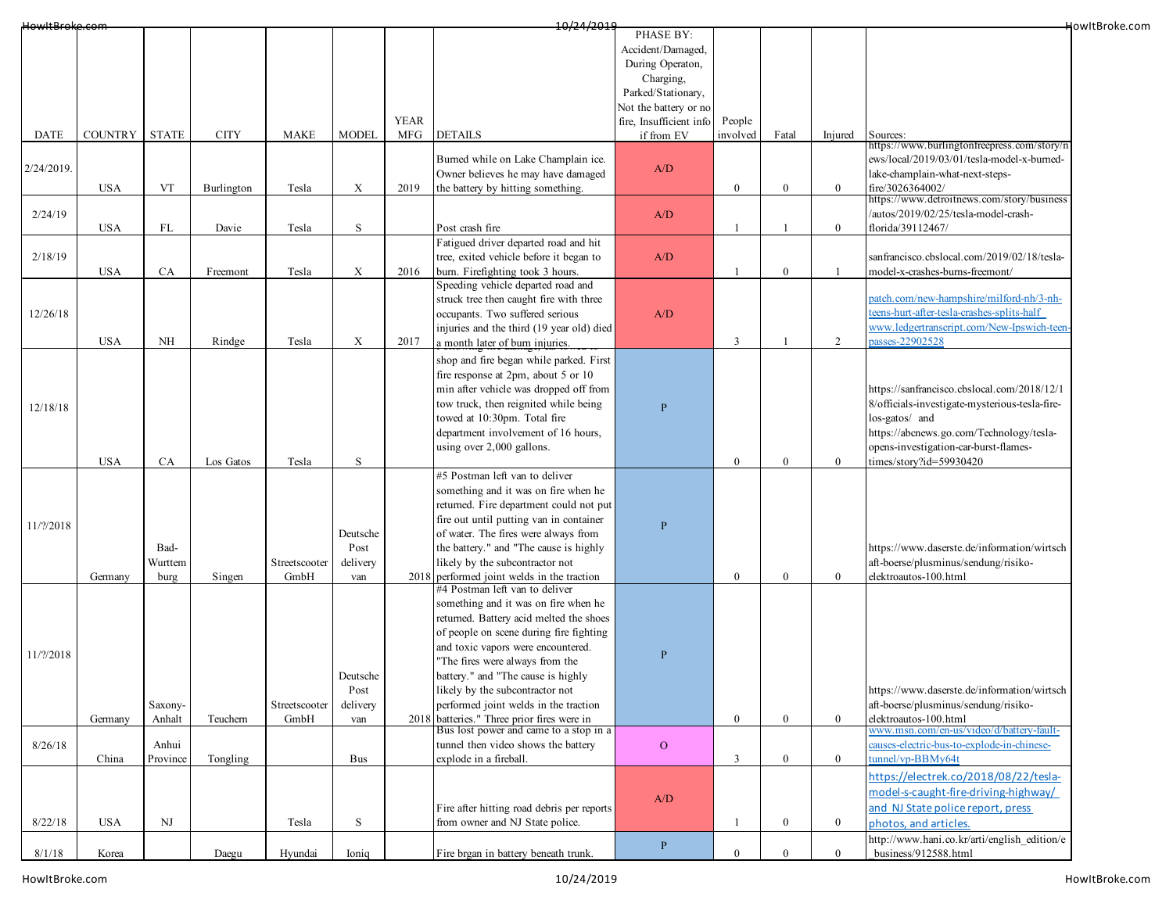| HowItBroke.com |                |              |             |               |                           |             | 10/24/2019                                                                   |                         |              |                  |                |                                                | HowItBroke.com |
|----------------|----------------|--------------|-------------|---------------|---------------------------|-------------|------------------------------------------------------------------------------|-------------------------|--------------|------------------|----------------|------------------------------------------------|----------------|
|                |                |              |             |               |                           |             |                                                                              | PHASE BY:               |              |                  |                |                                                |                |
|                |                |              |             |               |                           |             |                                                                              | Accident/Damaged,       |              |                  |                |                                                |                |
|                |                |              |             |               |                           |             |                                                                              | During Operaton,        |              |                  |                |                                                |                |
|                |                |              |             |               |                           |             |                                                                              | Charging,               |              |                  |                |                                                |                |
|                |                |              |             |               |                           |             |                                                                              | Parked/Stationary,      |              |                  |                |                                                |                |
|                |                |              |             |               |                           |             |                                                                              | Not the battery or no   |              |                  |                |                                                |                |
|                |                |              |             |               |                           | <b>YEAR</b> |                                                                              | fire, Insufficient info | People       |                  |                |                                                |                |
| <b>DATE</b>    | <b>COUNTRY</b> | <b>STATE</b> | <b>CITY</b> | <b>MAKE</b>   | <b>MODEL</b>              | MFG         | <b>DETAILS</b>                                                               | if from EV              | involved     | Fatal            | Injured        | Sources:                                       |                |
|                |                |              |             |               |                           |             |                                                                              |                         |              |                  |                | https://www.burlingtonfreepress.com/story/n    |                |
|                |                |              |             |               |                           |             | Burned while on Lake Champlain ice.                                          |                         |              |                  |                | ews/local/2019/03/01/tesla-model-x-burned-     |                |
| 2/24/2019.     |                |              |             |               |                           |             | Owner believes he may have damaged                                           | A/D                     |              |                  |                | lake-champlain-what-next-steps-                |                |
|                | <b>USA</b>     | VT           | Burlington  | Tesla         | $\boldsymbol{\mathrm{X}}$ | 2019        | the battery by hitting something.                                            |                         | $\bf{0}$     | $\boldsymbol{0}$ | $\mathbf{0}$   | fire/3026364002/                               |                |
|                |                |              |             |               |                           |             |                                                                              |                         |              |                  |                | https://www.detroitnews.com/story/business     |                |
| 2/24/19        |                |              |             |               |                           |             |                                                                              | A/D                     |              |                  |                | /autos/2019/02/25/tesla-model-crash-           |                |
|                | <b>USA</b>     | FL           | Davie       | Tesla         | S                         |             | Post crash fire                                                              |                         |              |                  | $\mathbf{0}$   | florida/39112467/                              |                |
|                |                |              |             |               |                           |             | Fatigued driver departed road and hit                                        |                         |              |                  |                |                                                |                |
| 2/18/19        |                |              |             |               |                           |             | tree, exited vehicle before it began to                                      | A/D                     |              |                  |                | sanfrancisco.cbslocal.com/2019/02/18/tesla-    |                |
|                |                |              |             |               |                           |             |                                                                              |                         |              |                  |                |                                                |                |
|                | <b>USA</b>     | CA           | Freemont    | Tesla         | X                         | 2016        | burn. Firefighting took 3 hours.                                             |                         |              | $\boldsymbol{0}$ |                | model-x-crashes-burns-freemont/                |                |
|                |                |              |             |               |                           |             | Speeding vehicle departed road and                                           |                         |              |                  |                |                                                |                |
|                |                |              |             |               |                           |             | struck tree then caught fire with three                                      |                         |              |                  |                | atch.com/new-hampshire/milford-nh/3-nh-        |                |
| 12/26/18       |                |              |             |               |                           |             | occupants. Two suffered serious                                              | A/D                     |              |                  |                | teens-hurt-after-tesla-crashes-splits-half     |                |
|                |                |              |             |               |                           |             | injuries and the third (19 year old) died                                    |                         |              |                  |                | www.ledgertranscript.com/New-Ipswich-teen-     |                |
|                | <b>USA</b>     | NH           | Rindge      | Tesla         | X                         | 2017        | a month later of burn injuries.                                              |                         | 3            |                  | 2              | asses-22902528                                 |                |
|                |                |              |             |               |                           |             | shop and fire began while parked. First                                      |                         |              |                  |                |                                                |                |
|                |                |              |             |               |                           |             | fire response at 2pm, about 5 or 10                                          |                         |              |                  |                |                                                |                |
|                |                |              |             |               |                           |             | min after vehicle was dropped off from                                       |                         |              |                  |                | https://sanfrancisco.cbslocal.com/2018/12/1    |                |
|                |                |              |             |               |                           |             |                                                                              |                         |              |                  |                |                                                |                |
| 12/18/18       |                |              |             |               |                           |             | tow truck, then reignited while being                                        | $\overline{P}$          |              |                  |                | 8/officials-investigate-mysterious-tesla-fire- |                |
|                |                |              |             |               |                           |             | towed at 10:30pm. Total fire                                                 |                         |              |                  |                | los-gatos/ and                                 |                |
|                |                |              |             |               |                           |             | department involvement of 16 hours,                                          |                         |              |                  |                | https://abcnews.go.com/Technology/tesla-       |                |
|                |                |              |             |               |                           |             | using over 2,000 gallons.                                                    |                         |              |                  |                | opens-investigation-car-burst-flames-          |                |
|                | <b>USA</b>     | CA           | Los Gatos   | Tesla         | S                         |             |                                                                              |                         | $\mathbf{0}$ | $\boldsymbol{0}$ | $\overline{0}$ | times/story?id=59930420                        |                |
|                |                |              |             |               |                           |             | #5 Postman left van to deliver                                               |                         |              |                  |                |                                                |                |
|                |                |              |             |               |                           |             | something and it was on fire when he                                         |                         |              |                  |                |                                                |                |
|                |                |              |             |               |                           |             | returned. Fire department could not put                                      |                         |              |                  |                |                                                |                |
|                |                |              |             |               |                           |             | fire out until putting van in container                                      |                         |              |                  |                |                                                |                |
| 11/?/2018      |                |              |             |               | Deutsche                  |             | of water. The fires were always from                                         | $\mathbf{P}$            |              |                  |                |                                                |                |
|                |                | Bad-         |             |               | Post                      |             | the battery." and "The cause is highly                                       |                         |              |                  |                | https://www.daserste.de/information/wirtsch    |                |
|                |                | Wurttem      |             | Streetscooter |                           |             |                                                                              |                         |              |                  |                | aft-boerse/plusminus/sendung/risiko-           |                |
|                |                |              |             |               | delivery                  |             | likely by the subcontractor not                                              |                         |              |                  |                |                                                |                |
|                | Germany        | burg         | Singen      | GmbH          | van                       |             | 2018 performed joint welds in the traction<br>#4 Postman left van to deliver |                         | $\mathbf{0}$ | $\bf{0}$         | $\overline{0}$ | elektroautos-100.html                          |                |
|                |                |              |             |               |                           |             |                                                                              |                         |              |                  |                |                                                |                |
|                |                |              |             |               |                           |             | something and it was on fire when he                                         |                         |              |                  |                |                                                |                |
|                |                |              |             |               |                           |             | returned. Battery acid melted the shoes                                      |                         |              |                  |                |                                                |                |
|                |                |              |             |               |                           |             | of people on scene during fire fighting                                      |                         |              |                  |                |                                                |                |
| 11/?/2018      |                |              |             |               |                           |             | and toxic vapors were encountered.                                           | $\mathbf{P}$            |              |                  |                |                                                |                |
|                |                |              |             |               |                           |             | "The fires were always from the                                              |                         |              |                  |                |                                                |                |
|                |                |              |             |               | Deutsche                  |             | battery." and "The cause is highly                                           |                         |              |                  |                |                                                |                |
|                |                |              |             |               | Post                      |             | likely by the subcontractor not                                              |                         |              |                  |                | https://www.daserste.de/information/wirtsch    |                |
|                |                | Saxony-      |             | Streetscooter | delivery                  |             | performed joint welds in the traction                                        |                         |              |                  |                | aft-boerse/plusminus/sendung/risiko-           |                |
|                | Germany        | Anhalt       | Teuchern    | GmbH          | van                       |             | 2018 batteries." Three prior fires were in                                   |                         | $\mathbf{0}$ | $\bf{0}$         | $\overline{0}$ | elektroautos-100.html                          |                |
|                |                |              |             |               |                           |             | Bus lost power and came to a stop in a                                       |                         |              |                  |                | www.msn.com/en-us/video/d/battery-fault-       |                |
| 8/26/18        |                | Anhui        |             |               |                           |             | tunnel then video shows the battery                                          | $\mathbf O$             |              |                  |                | causes-electric-bus-to-explode-in-chinese-     |                |
|                | China          | Province     | Tongling    |               | Bus                       |             | explode in a fireball.                                                       |                         | 3            | $\boldsymbol{0}$ | $\overline{0}$ | tunnel/vp-BBMy64t                              |                |
|                |                |              |             |               |                           |             |                                                                              |                         |              |                  |                |                                                |                |
|                |                |              |             |               |                           |             |                                                                              |                         |              |                  |                | https://electrek.co/2018/08/22/tesla-          |                |
|                |                |              |             |               |                           |             |                                                                              | A/D                     |              |                  |                | model-s-caught-fire-driving-highway/           |                |
|                |                |              |             |               |                           |             | Fire after hitting road debris per reports                                   |                         |              |                  |                | and NJ State police report, press              |                |
| 8/22/18        | <b>USA</b>     | NJ           |             | Tesla         | S                         |             | from owner and NJ State police.                                              |                         |              | $\bf{0}$         | $\mathbf{0}$   | photos, and articles.                          |                |
|                |                |              |             |               |                           |             |                                                                              |                         |              |                  |                | http://www.hani.co.kr/arti/english_edition/e   |                |
| 8/1/18         | Korea          |              | Daegu       | Hyundai       | Ioniq                     |             | Fire brgan in battery beneath trunk.                                         | ${\bf P}$               | $\theta$     | $\Omega$         | $\overline{0}$ | business/912588.html                           |                |
|                |                |              |             |               |                           |             |                                                                              |                         |              |                  |                |                                                |                |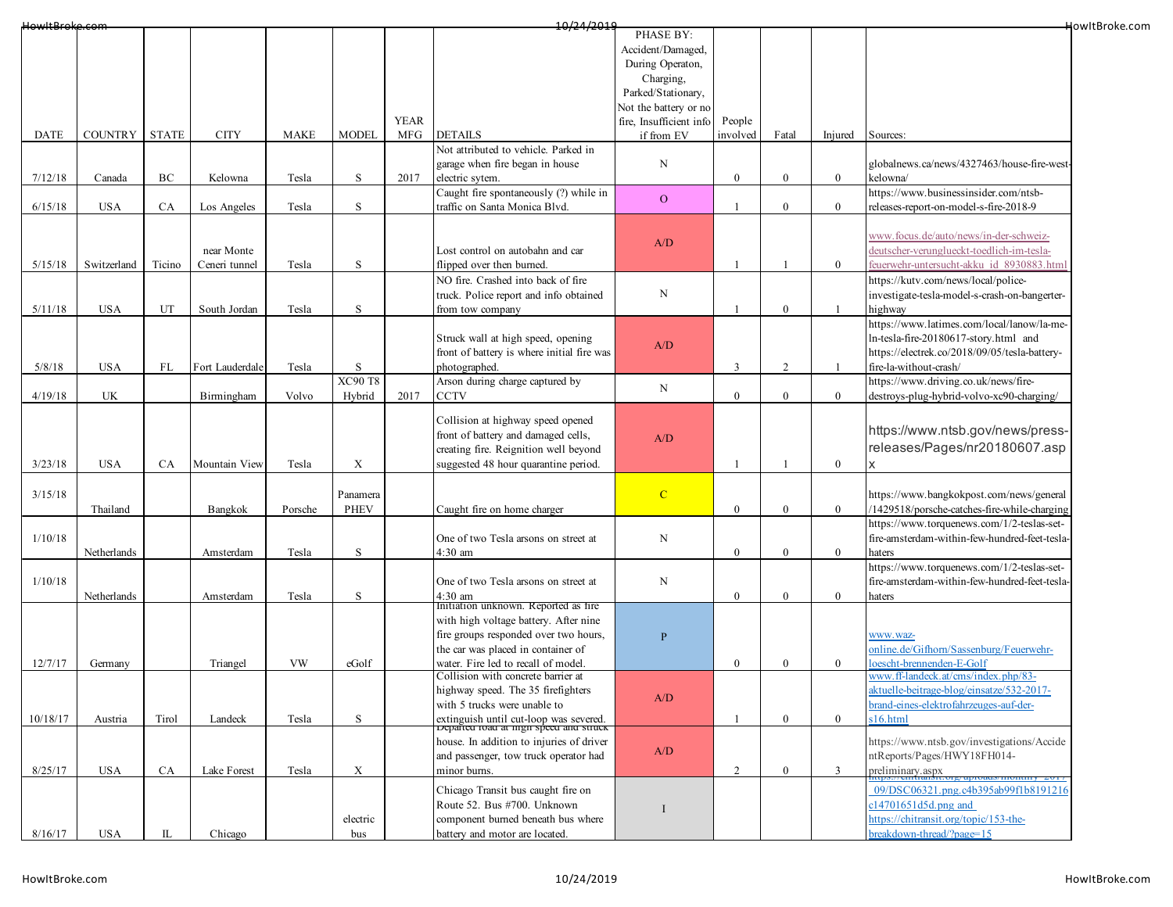| HowItBroke.com |                |              |                 |             |                           |             | 10/24/2019                                                                       |                         |                  |                  |                |                                               | HowItBroke.com |
|----------------|----------------|--------------|-----------------|-------------|---------------------------|-------------|----------------------------------------------------------------------------------|-------------------------|------------------|------------------|----------------|-----------------------------------------------|----------------|
|                |                |              |                 |             |                           |             |                                                                                  | PHASE BY:               |                  |                  |                |                                               |                |
|                |                |              |                 |             |                           |             |                                                                                  | Accident/Damaged,       |                  |                  |                |                                               |                |
|                |                |              |                 |             |                           |             |                                                                                  | During Operaton,        |                  |                  |                |                                               |                |
|                |                |              |                 |             |                           |             |                                                                                  | Charging,               |                  |                  |                |                                               |                |
|                |                |              |                 |             |                           |             |                                                                                  | Parked/Stationary,      |                  |                  |                |                                               |                |
|                |                |              |                 |             |                           |             |                                                                                  | Not the battery or no   |                  |                  |                |                                               |                |
|                |                |              |                 |             |                           | <b>YEAR</b> |                                                                                  | fire, Insufficient info | People           |                  |                |                                               |                |
| DATE           | <b>COUNTRY</b> | <b>STATE</b> | <b>CITY</b>     | <b>MAKE</b> | <b>MODEL</b>              | MFG         | <b>DETAILS</b>                                                                   | if from EV              | involved         | Fatal            | Injured        | Sources:                                      |                |
|                |                |              |                 |             |                           |             | Not attributed to vehicle. Parked in                                             |                         |                  |                  |                |                                               |                |
|                |                |              |                 |             |                           |             | garage when fire began in house                                                  | N                       |                  |                  |                | globalnews.ca/news/4327463/house-fire-west-   |                |
| 7/12/18        | Canada         | BС           | Kelowna         | Tesla       | S                         | 2017        | electric sytem.                                                                  |                         | $\overline{0}$   | $\boldsymbol{0}$ | $\overline{0}$ | kelowna/                                      |                |
|                |                |              |                 |             |                           |             | Caught fire spontaneously (?) while in                                           |                         |                  |                  |                | https://www.businessinsider.com/ntsb-         |                |
| 6/15/18        | <b>USA</b>     | CA           | Los Angeles     | Tesla       | $\,$ S                    |             | traffic on Santa Monica Blvd.                                                    | $\mathbf{O}$            |                  | $\boldsymbol{0}$ | $\overline{0}$ | releases-report-on-model-s-fire-2018-9        |                |
|                |                |              |                 |             |                           |             |                                                                                  |                         |                  |                  |                |                                               |                |
|                |                |              |                 |             |                           |             |                                                                                  |                         |                  |                  |                | www.focus.de/auto/news/in-der-schweiz-        |                |
|                |                |              |                 |             |                           |             |                                                                                  | A/D                     |                  |                  |                |                                               |                |
|                |                |              | near Monte      |             |                           |             | Lost control on autobahn and car                                                 |                         |                  |                  |                | deutscher-verunglueckt-toedlich-im-tesla-     |                |
| 5/15/18        | Switzerland    | Ticino       | Ceneri tunnel   | Tesla       | S                         |             | flipped over then burned.                                                        |                         |                  |                  | $\mathbf{0}$   | feuerwehr-untersucht-akku id 8930883.html     |                |
|                |                |              |                 |             |                           |             | NO fire. Crashed into back of fire                                               |                         |                  |                  |                | https://kutv.com/news/local/police-           |                |
|                |                |              |                 |             |                           |             | truck. Police report and info obtained                                           | N                       |                  |                  |                | investigate-tesla-model-s-crash-on-bangerter- |                |
| 5/11/18        | <b>USA</b>     | UT           | South Jordan    | Tesla       | S                         |             | from tow company                                                                 |                         |                  | $\mathbf{0}$     |                | highway                                       |                |
|                |                |              |                 |             |                           |             |                                                                                  |                         |                  |                  |                | https://www.latimes.com/local/lanow/la-me-    |                |
|                |                |              |                 |             |                           |             | Struck wall at high speed, opening                                               | A/D                     |                  |                  |                | ln-tesla-fire-20180617-story.html and         |                |
|                |                |              |                 |             |                           |             | front of battery is where initial fire was                                       |                         |                  |                  |                | https://electrek.co/2018/09/05/tesla-battery- |                |
| 5/8/18         | <b>USA</b>     | FL           | Fort Lauderdale | Tesla       | S                         |             | photographed.                                                                    |                         | 3                | 2                |                | fire-la-without-crash/                        |                |
|                |                |              |                 |             | <b>XC90 T8</b>            |             | Arson during charge captured by                                                  |                         |                  |                  |                | https://www.driving.co.uk/news/fire-          |                |
| 4/19/18        | UK             |              | Birmingham      | Volvo       | Hybrid                    | 2017        | <b>CCTV</b>                                                                      | N                       | $\bf{0}$         | $\boldsymbol{0}$ | $\overline{0}$ | destroys-plug-hybrid-volvo-xc90-charging/     |                |
|                |                |              |                 |             |                           |             |                                                                                  |                         |                  |                  |                |                                               |                |
|                |                |              |                 |             |                           |             | Collision at highway speed opened                                                |                         |                  |                  |                |                                               |                |
|                |                |              |                 |             |                           |             | front of battery and damaged cells,                                              | A/D                     |                  |                  |                | https://www.ntsb.gov/news/press-              |                |
|                |                |              |                 |             |                           |             | creating fire. Reignition well beyond                                            |                         |                  |                  |                | releases/Pages/nr20180607.asp                 |                |
| 3/23/18        | <b>USA</b>     | <b>CA</b>    | Mountain View   | Tesla       | $\boldsymbol{\mathrm{X}}$ |             | suggested 48 hour quarantine period.                                             |                         | $\overline{1}$   | -1               | $\mathbf{0}$   |                                               |                |
|                |                |              |                 |             |                           |             |                                                                                  |                         |                  |                  |                |                                               |                |
| 3/15/18        |                |              |                 |             | Panamera                  |             |                                                                                  | $\overline{C}$          |                  |                  |                | https://www.bangkokpost.com/news/general      |                |
|                | Thailand       |              |                 | Porsche     | PHEV                      |             | Caught fire on home charger                                                      |                         | $\mathbf{0}$     | $\overline{0}$   | $\overline{0}$ | /1429518/porsche-catches-fire-while-charging  |                |
|                |                |              | Bangkok         |             |                           |             |                                                                                  |                         |                  |                  |                | https://www.torquenews.com/1/2-teslas-set-    |                |
|                |                |              |                 |             |                           |             |                                                                                  |                         |                  |                  |                |                                               |                |
| 1/10/18        |                |              |                 |             |                           |             | One of two Tesla arsons on street at                                             | $\mathbf N$             |                  |                  |                | fire-amsterdam-within-few-hundred-feet-tesla- |                |
|                | Netherlands    |              | Amsterdam       | Tesla       | S                         |             | 4:30 am                                                                          |                         | $\bf{0}$         | $\boldsymbol{0}$ | $\overline{0}$ | haters                                        |                |
|                |                |              |                 |             |                           |             |                                                                                  |                         |                  |                  |                | https://www.torquenews.com/1/2-teslas-set-    |                |
| 1/10/18        |                |              |                 |             |                           |             | One of two Tesla arsons on street at                                             | N                       |                  |                  |                | fire-amsterdam-within-few-hundred-feet-tesla- |                |
|                | Netherlands    |              | Amsterdam       | Tesla       | $\,$ S                    |             | 4:30 am<br>Initiation unknown. Reported as fire                                  |                         | $\overline{0}$   | $\boldsymbol{0}$ | $\overline{0}$ | haters                                        |                |
|                |                |              |                 |             |                           |             |                                                                                  |                         |                  |                  |                |                                               |                |
|                |                |              |                 |             |                           |             | with high voltage battery. After nine                                            |                         |                  |                  |                |                                               |                |
|                |                |              |                 |             |                           |             | fire groups responded over two hours,                                            | $\mathbf{P}$            |                  |                  |                | www.waz-                                      |                |
|                |                |              |                 |             |                           |             | the car was placed in container of                                               |                         |                  |                  |                | online.de/Gifhorn/Sassenburg/Feuerwehr-       |                |
| 12/7/17        | Germany        |              | Triangel        | <b>VW</b>   | eGolf                     |             | water. Fire led to recall of model.                                              |                         | $\boldsymbol{0}$ | $\overline{0}$   | $\mathbf{0}$   | bescht-brennenden-E-Golf                      |                |
|                |                |              |                 |             |                           |             | Collision with concrete barrier at                                               |                         |                  |                  |                | www.ff-landeck.at/cms/index.php/83-           |                |
|                |                |              |                 |             |                           |             | highway speed. The 35 firefighters                                               | A/D                     |                  |                  |                | aktuelle-beitrage-blog/einsatze/532-2017-     |                |
|                |                |              |                 |             |                           |             | with 5 trucks were unable to                                                     |                         |                  |                  |                | orand-eines-elektrofahrzeuges-auf-der-        |                |
| 10/18/17       | Austria        | Tirol        | Landeck         | Tesla       | S                         |             | extinguish until cut-loop was severed.<br>Departed road at nigh speed and struck |                         |                  | $\mathbf{0}$     | $\overline{0}$ | s16.html                                      |                |
|                |                |              |                 |             |                           |             | house. In addition to injuries of driver                                         |                         |                  |                  |                | https://www.ntsb.gov/investigations/Accide    |                |
|                |                |              |                 |             |                           |             | and passenger, tow truck operator had                                            | A/D                     |                  |                  |                | ntReports/Pages/HWY18FH014-                   |                |
| 8/25/17        | <b>USA</b>     | <b>CA</b>    | Lake Forest     | Tesla       | $\boldsymbol{\mathrm{X}}$ |             | minor burns.                                                                     |                         | 2                | $\overline{0}$   | 3              | preliminary.aspx                              |                |
|                |                |              |                 |             |                           |             |                                                                                  |                         |                  |                  |                |                                               |                |
|                |                |              |                 |             |                           |             | Chicago Transit bus caught fire on                                               |                         |                  |                  |                | 09/DSC06321.png.c4b395ab99f1b8191216          |                |
|                |                |              |                 |             |                           |             | Route 52. Bus #700. Unknown                                                      |                         |                  |                  |                | $14701651d5d$ , png and                       |                |
|                |                |              |                 |             | electric                  |             | component burned beneath bus where                                               |                         |                  |                  |                | attps://chitransit.org/topic/153-the-         |                |
| 8/16/17        | <b>USA</b>     | IL           | Chicago         |             | bus                       |             | battery and motor are located.                                                   |                         |                  |                  |                | reakdown-thread/?page=15                      |                |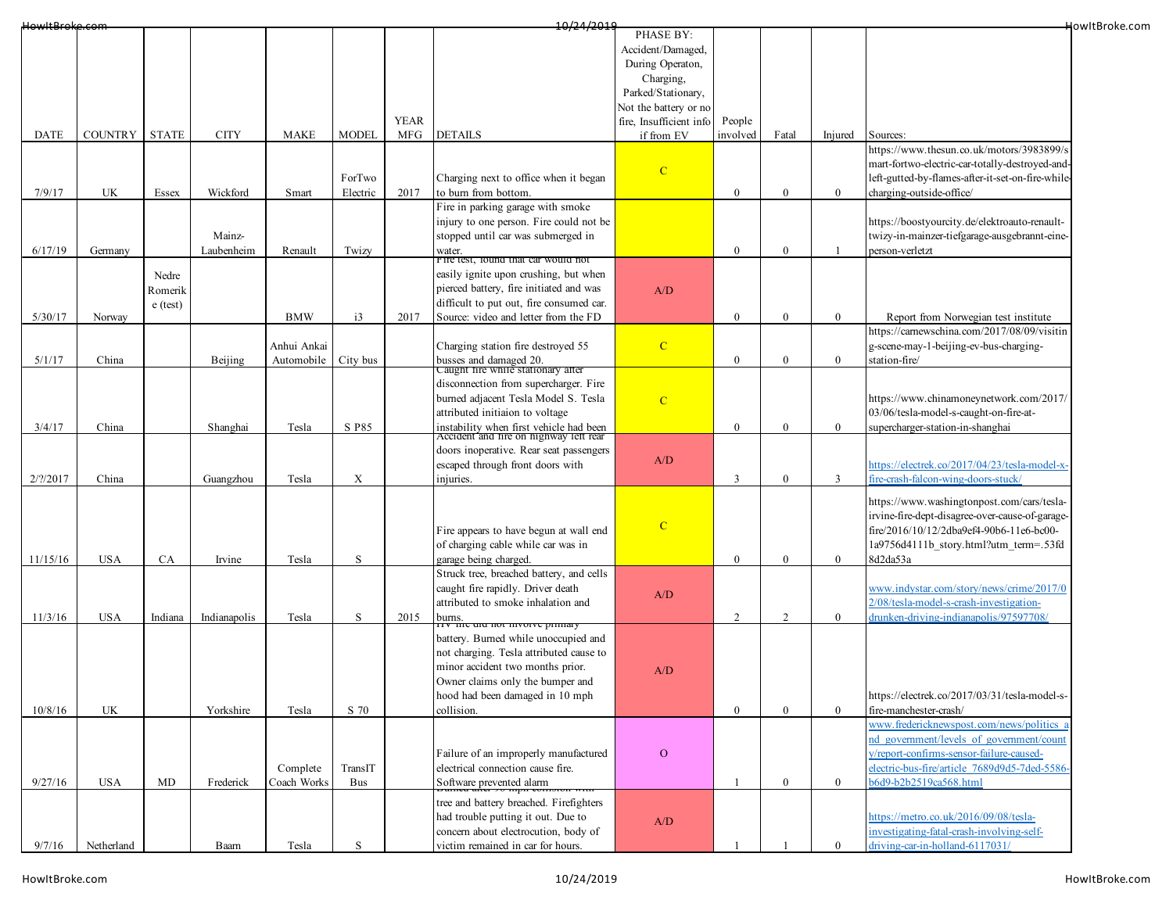| HowItBroke.com |                |              |              |             |                           |             | 10/24/2019                                                                        |                         |                |                  |                |                                                   | HowItBroke.com |
|----------------|----------------|--------------|--------------|-------------|---------------------------|-------------|-----------------------------------------------------------------------------------|-------------------------|----------------|------------------|----------------|---------------------------------------------------|----------------|
|                |                |              |              |             |                           |             |                                                                                   | PHASE BY:               |                |                  |                |                                                   |                |
|                |                |              |              |             |                           |             |                                                                                   | Accident/Damaged,       |                |                  |                |                                                   |                |
|                |                |              |              |             |                           |             |                                                                                   | During Operaton,        |                |                  |                |                                                   |                |
|                |                |              |              |             |                           |             |                                                                                   | Charging,               |                |                  |                |                                                   |                |
|                |                |              |              |             |                           |             |                                                                                   | Parked/Stationary,      |                |                  |                |                                                   |                |
|                |                |              |              |             |                           |             |                                                                                   | Not the battery or no   |                |                  |                |                                                   |                |
|                |                |              |              |             |                           | <b>YEAR</b> |                                                                                   | fire, Insufficient info | People         |                  |                |                                                   |                |
| DATE           | <b>COUNTRY</b> | <b>STATE</b> | <b>CITY</b>  | <b>MAKE</b> | <b>MODEL</b>              | <b>MFG</b>  | <b>DETAILS</b>                                                                    | if from EV              | involved       | Fatal            | Injured        | Sources:                                          |                |
|                |                |              |              |             |                           |             |                                                                                   |                         |                |                  |                | https://www.thesun.co.uk/motors/3983899/s         |                |
|                |                |              |              |             |                           |             |                                                                                   | $\mathbf C$             |                |                  |                | mart-fortwo-electric-car-totally-destroyed-and-   |                |
|                |                |              |              |             | ForTwo                    |             | Charging next to office when it began                                             |                         |                |                  |                | left-gutted-by-flames-after-it-set-on-fire-while- |                |
| 7/9/17         | UK             | Essex        | Wickford     | Smart       | Electric                  | 2017        | to burn from bottom.                                                              |                         | $\theta$       | $\overline{0}$   | $\mathbf{0}$   | charging-outside-office/                          |                |
|                |                |              |              |             |                           |             | Fire in parking garage with smoke                                                 |                         |                |                  |                |                                                   |                |
|                |                |              |              |             |                           |             | injury to one person. Fire could not be                                           |                         |                |                  |                | https://boostyourcity.de/elektroauto-renault-     |                |
|                |                |              | Mainz-       |             |                           |             | stopped until car was submerged in                                                |                         |                |                  |                | twizy-in-mainzer-tiefgarage-ausgebrannt-eine-     |                |
| 6/17/19        | Germany        |              | Laubenheim   | Renault     | Twizy                     |             | water.<br>Fire test, found that car would not                                     |                         | $\bf{0}$       | $\mathbf{0}$     |                | person-verletzt                                   |                |
|                |                | Nedre        |              |             |                           |             | easily ignite upon crushing, but when                                             |                         |                |                  |                |                                                   |                |
|                |                | Romerik      |              |             |                           |             | pierced battery, fire initiated and was                                           | A/D                     |                |                  |                |                                                   |                |
|                |                |              |              |             |                           |             | difficult to put out, fire consumed car.                                          |                         |                |                  |                |                                                   |                |
| 5/30/17        | Norway         | $e$ (test)   |              | <b>BMW</b>  | i3                        | 2017        | Source: video and letter from the FD                                              |                         | $\mathbf{0}$   | $\mathbf{0}$     | $\bf{0}$       | Report from Norwegian test institute              |                |
|                |                |              |              |             |                           |             |                                                                                   |                         |                |                  |                | https://carnewschina.com/2017/08/09/visitin       |                |
|                |                |              |              | Anhui Ankai |                           |             | Charging station fire destroyed 55                                                | $\mathbf C$             |                |                  |                | g-scene-may-1-beijing-ev-bus-charging-            |                |
| 5/1/17         | China          |              | Beijing      | Automobile  | City bus                  |             |                                                                                   |                         | $\mathbf{0}$   | $\overline{0}$   | $\mathbf{0}$   | station-fire/                                     |                |
|                |                |              |              |             |                           |             | busses and damaged 20.<br>Caught fire while stationary after                      |                         |                |                  |                |                                                   |                |
|                |                |              |              |             |                           |             | disconnection from supercharger. Fire                                             |                         |                |                  |                |                                                   |                |
|                |                |              |              |             |                           |             | burned adjacent Tesla Model S. Tesla                                              | $\mathbf C$             |                |                  |                | https://www.chinamoneynetwork.com/2017/           |                |
|                |                |              |              |             |                           |             | attributed initiaion to voltage                                                   |                         |                |                  |                | 03/06/tesla-model-s-caught-on-fire-at-            |                |
| 3/4/17         | China          |              | Shanghai     | Tesla       | S P85                     |             | instability when first vehicle had been<br>Accident and fire on highway left rear |                         | $\overline{0}$ | $\boldsymbol{0}$ | $\bf{0}$       | supercharger-station-in-shanghai                  |                |
|                |                |              |              |             |                           |             |                                                                                   |                         |                |                  |                |                                                   |                |
|                |                |              |              |             |                           |             | doors inoperative. Rear seat passengers                                           | A/D                     |                |                  |                |                                                   |                |
|                |                |              |              |             |                           |             | escaped through front doors with                                                  |                         |                |                  |                | https://electrek.co/2017/04/23/tesla-model-x-     |                |
| 2/2/2017       | China          |              | Guangzhou    | Tesla       | $\boldsymbol{\mathrm{X}}$ |             | injuries.                                                                         |                         | 3              | $\mathbf{0}$     | $\mathfrak{Z}$ | fire-crash-falcon-wing-doors-stuck/               |                |
|                |                |              |              |             |                           |             |                                                                                   |                         |                |                  |                | https://www.washingtonpost.com/cars/tesla-        |                |
|                |                |              |              |             |                           |             |                                                                                   |                         |                |                  |                | irvine-fire-dept-disagree-over-cause-of-garage-   |                |
|                |                |              |              |             |                           |             | Fire appears to have begun at wall end                                            | $\mathbf C$             |                |                  |                | fire/2016/10/12/2dba9ef4-90b6-11e6-bc00-          |                |
|                |                |              |              |             |                           |             | of charging cable while car was in                                                |                         |                |                  |                | 1a9756d4111b story.html?utm term=.53fd            |                |
| 11/15/16       | <b>USA</b>     | CA           | Irvine       | Tesla       | S                         |             | garage being charged.                                                             |                         | $\mathbf{0}$   | $\bf{0}$         | $\overline{0}$ | 8d2da53a                                          |                |
|                |                |              |              |             |                           |             | Struck tree, breached battery, and cells                                          |                         |                |                  |                |                                                   |                |
|                |                |              |              |             |                           |             | caught fire rapidly. Driver death                                                 | A/D                     |                |                  |                | www.indystar.com/story/news/crime/2017/0          |                |
|                |                |              |              |             |                           |             | attributed to smoke inhalation and                                                |                         |                |                  |                | 2/08/tesla-model-s-crash-investigation-           |                |
| 11/3/16        | <b>USA</b>     | Indiana      | Indianapolis | Tesla       | S                         | 2015        | burns.                                                                            |                         | 2              | 2                | $\mathbf{0}$   | drunken-driving-indianapolis/97597708/            |                |
|                |                |              |              |             |                           |             | ту ни <del>е систной ни</del> убиче ринна<br>battery. Burned while unoccupied and |                         |                |                  |                |                                                   |                |
|                |                |              |              |             |                           |             | not charging. Tesla attributed cause to                                           |                         |                |                  |                |                                                   |                |
|                |                |              |              |             |                           |             | minor accident two months prior.                                                  |                         |                |                  |                |                                                   |                |
|                |                |              |              |             |                           |             | Owner claims only the bumper and                                                  | A/D                     |                |                  |                |                                                   |                |
|                |                |              |              |             |                           |             | hood had been damaged in 10 mph                                                   |                         |                |                  |                | https://electrek.co/2017/03/31/tesla-model-s-     |                |
| 10/8/16        | UK             |              | Yorkshire    | Tesla       | S 70                      |             | collision.                                                                        |                         | $\bf{0}$       | $\mathbf{0}$     | $\overline{0}$ | fire-manchester-crash/                            |                |
|                |                |              |              |             |                           |             |                                                                                   |                         |                |                  |                | www.fredericknewspost.com/news/politics a         |                |
|                |                |              |              |             |                           |             |                                                                                   |                         |                |                  |                | nd government/levels of government/count          |                |
|                |                |              |              |             |                           |             | Failure of an improperly manufactured                                             | $\mathbf{O}$            |                |                  |                | y/report-confirms-sensor-failure-caused-          |                |
|                |                |              |              | Complete    | TransIT                   |             | electrical connection cause fire.                                                 |                         |                |                  |                | electric-bus-fire/article 7689d9d5-7ded-5586-     |                |
| 9/27/16        | <b>USA</b>     | MD           | Frederick    | Coach Works | Bus                       |             | Software prevented alarm                                                          |                         |                | $\boldsymbol{0}$ | $\overline{0}$ | b6d9-b2b2519ca568.html                            |                |
|                |                |              |              |             |                           |             |                                                                                   |                         |                |                  |                |                                                   |                |
|                |                |              |              |             |                           |             | tree and battery breached. Firefighters                                           |                         |                |                  |                |                                                   |                |
|                |                |              |              |             |                           |             | had trouble putting it out. Due to                                                | A/D                     |                |                  |                | https://metro.co.uk/2016/09/08/tesla-             |                |
|                |                |              |              |             |                           |             | concern about electrocution, body of                                              |                         |                |                  |                | investigating-fatal-crash-involving-self-         |                |
| 9/7/16         | Netherland     |              | Baarn        | Tesla       | S                         |             | victim remained in car for hours.                                                 |                         |                |                  | $\mathbf{0}$   | driving-car-in-holland-6117031/                   |                |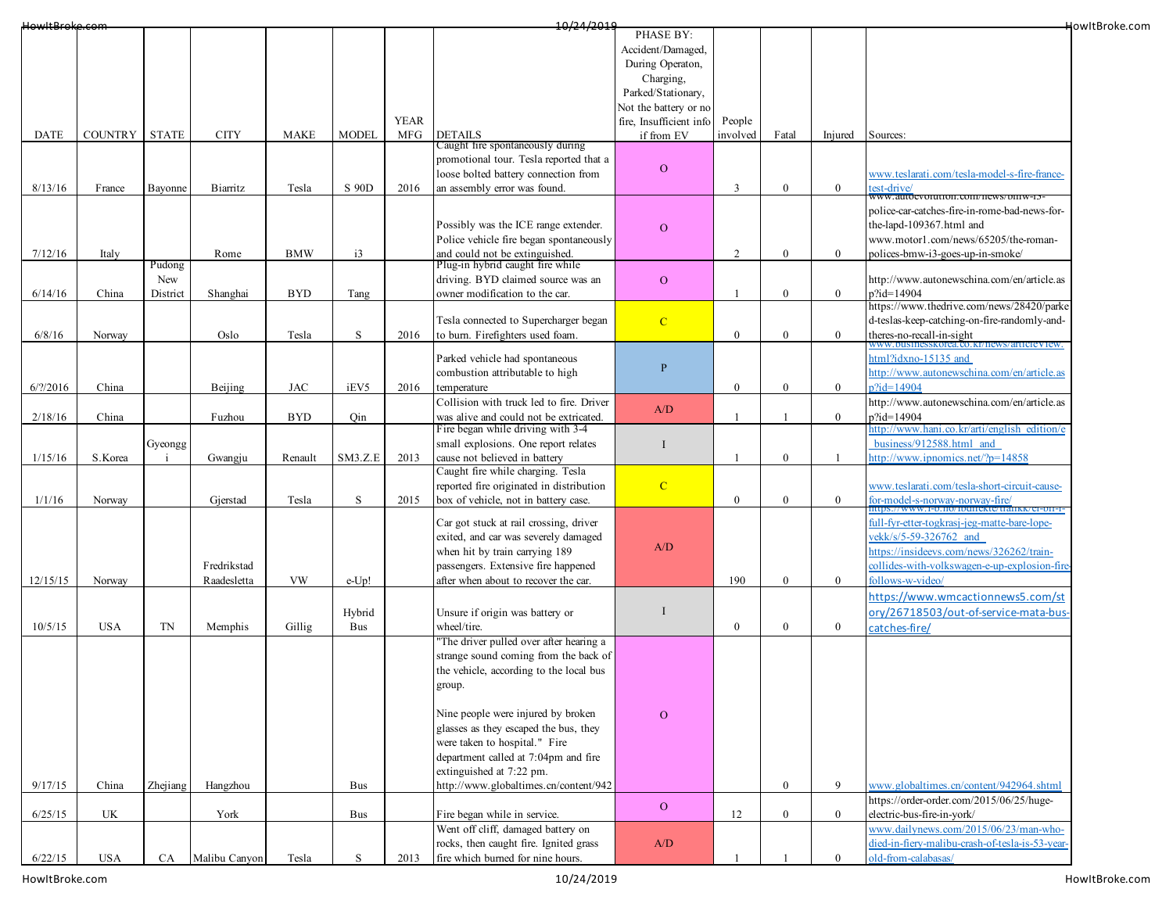| HowItBroke.com      |                                 |              |               |             |                 |             | 10/24/2019                               |                         |                |                  |                |                                                                                    | HowItBroke.com |
|---------------------|---------------------------------|--------------|---------------|-------------|-----------------|-------------|------------------------------------------|-------------------------|----------------|------------------|----------------|------------------------------------------------------------------------------------|----------------|
|                     |                                 |              |               |             |                 |             |                                          | PHASE BY:               |                |                  |                |                                                                                    |                |
|                     |                                 |              |               |             |                 |             |                                          | Accident/Damaged,       |                |                  |                |                                                                                    |                |
|                     |                                 |              |               |             |                 |             |                                          | During Operaton,        |                |                  |                |                                                                                    |                |
|                     |                                 |              |               |             |                 |             |                                          | Charging,               |                |                  |                |                                                                                    |                |
|                     |                                 |              |               |             |                 |             |                                          | Parked/Stationary,      |                |                  |                |                                                                                    |                |
|                     |                                 |              |               |             |                 |             |                                          | Not the battery or no   |                |                  |                |                                                                                    |                |
|                     |                                 |              |               |             |                 | <b>YEAR</b> |                                          | fire, Insufficient info | People         |                  |                |                                                                                    |                |
| DATE                | <b>COUNTRY</b>                  | <b>STATE</b> | <b>CITY</b>   | <b>MAKE</b> | <b>MODEL</b>    | <b>MFG</b>  | <b>DETAILS</b>                           | if from EV              | involved       | Fatal            | Injured        | Sources:                                                                           |                |
|                     |                                 |              |               |             |                 |             | Caught fire spontaneously during         |                         |                |                  |                |                                                                                    |                |
|                     |                                 |              |               |             |                 |             | promotional tour. Tesla reported that a  | $\mathbf{O}$            |                |                  |                |                                                                                    |                |
|                     |                                 |              |               |             |                 |             | loose bolted battery connection from     |                         |                |                  |                | www.teslarati.com/tesla-model-s-fire-france-                                       |                |
| 8/13/16             | France                          | Bayonne      | Biarritz      | Tesla       | S 90D           | 2016        | an assembly error was found.             |                         | 3              | $\bf{0}$         | $\mathbf{0}$   | est-drive/                                                                         |                |
|                     |                                 |              |               |             |                 |             |                                          |                         |                |                  |                | www.autoevolution.com/news/dmw-15<br>police-car-catches-fire-in-rome-bad-news-for- |                |
|                     |                                 |              |               |             |                 |             |                                          |                         |                |                  |                |                                                                                    |                |
|                     |                                 |              |               |             |                 |             | Possibly was the ICE range extender.     | $\overline{O}$          |                |                  |                | the-lapd-109367.html and                                                           |                |
|                     |                                 |              |               |             |                 |             | Police vehicle fire began spontaneously  |                         |                |                  |                | www.motor1.com/news/65205/the-roman-                                               |                |
| 7/12/16             | Italy                           |              | Rome          | <b>BMW</b>  | $\overline{13}$ |             | and could not be extinguished.           |                         | $\mathfrak{D}$ | $\bf{0}$         | $\mathbf{0}$   | polices-bmw-i3-goes-up-in-smoke/                                                   |                |
|                     |                                 | Pudong       |               |             |                 |             | Plug-in hybrid caught fire while         |                         |                |                  |                |                                                                                    |                |
|                     |                                 | New          |               |             |                 |             | driving. BYD claimed source was an       | $\mathbf{O}$            |                |                  |                | http://www.autonewschina.com/en/article.as                                         |                |
| 6/14/16             | China                           | District     | Shanghai      | <b>BYD</b>  | Tang            |             | owner modification to the car.           |                         | -1             | $\bf{0}$         | $\overline{0}$ | p?id=14904                                                                         |                |
|                     |                                 |              |               |             |                 |             |                                          |                         |                |                  |                | https://www.thedrive.com/news/28420/parke                                          |                |
|                     |                                 |              |               |             |                 |             | Tesla connected to Supercharger began    | $\mathbf C$             |                |                  |                | d-teslas-keep-catching-on-fire-randomly-and-                                       |                |
| 6/8/16              | Norway                          |              | Oslo          | Tesla       | S               | 2016        | to burn. Firefighters used foam.         |                         | $\mathbf{0}$   | $\mathbf{0}$     | $\overline{0}$ | theres-no-recall-in-sight<br>www.businesskorea.co.kr/news/articleView.             |                |
|                     |                                 |              |               |             |                 |             | Parked vehicle had spontaneous           |                         |                |                  |                | ttml?idxno-15135 and                                                               |                |
|                     |                                 |              |               |             |                 |             | combustion attributable to high          | $\mathbf{P}$            |                |                  |                | http://www.autonewschina.com/en/article.as                                         |                |
|                     |                                 |              |               |             |                 |             |                                          |                         |                |                  | $\overline{0}$ | $2id=14904$                                                                        |                |
| $6/?\frac{2016}{ }$ | China                           |              | Beijing       | <b>JAC</b>  | iEV5            | 2016        | temperature                              |                         | $\overline{0}$ | $\bf{0}$         |                |                                                                                    |                |
|                     |                                 |              |               |             |                 |             | Collision with truck led to fire. Driver | A/D                     |                |                  |                | http://www.autonewschina.com/en/article.as                                         |                |
| 2/18/16             | China                           |              | Fuzhou        | <b>BYD</b>  | Qin             |             | was alive and could not be extricated.   |                         | -1             |                  | $\overline{0}$ | p?id=14904                                                                         |                |
|                     |                                 |              |               |             |                 |             | Fire began while driving with 3-4        |                         |                |                  |                | ttp://www.hani.co.kr/arti/english edition/e                                        |                |
|                     |                                 | Gyeongg      |               |             |                 |             | small explosions. One report relates     | I                       |                |                  |                | business/912588.html and                                                           |                |
| 1/15/16             | S.Korea                         |              | Gwangju       | Renault     | SM3.Z.E         | 2013        | cause not believed in battery            |                         |                | $\mathbf{0}$     |                | $\text{http://www.ipnomics.net/?p=14858}$                                          |                |
|                     |                                 |              |               |             |                 |             | Caught fire while charging. Tesla        |                         |                |                  |                |                                                                                    |                |
|                     |                                 |              |               |             |                 |             | reported fire originated in distribution | $\mathbf{C}$            |                |                  |                | www.teslarati.com/tesla-short-circuit-cause-                                       |                |
| 1/1/16              | Norway                          |              | Gjerstad      | Tesla       | S               | 2015        | box of vehicle, not in battery case.     |                         | $\overline{0}$ | $\mathbf{0}$     | $\overline{0}$ | for-model-s-norway-norway-fire/                                                    |                |
|                     |                                 |              |               |             |                 |             |                                          |                         |                |                  |                | full-fyr-etter-togkrasj-jeg-matte-bare-lope-                                       |                |
|                     |                                 |              |               |             |                 |             | Car got stuck at rail crossing, driver   |                         |                |                  |                |                                                                                    |                |
|                     |                                 |              |               |             |                 |             | exited, and car was severely damaged     | A/D                     |                |                  |                | rekk/s/5-59-326762 and                                                             |                |
|                     |                                 |              |               |             |                 |             | when hit by train carrying 189           |                         |                |                  |                | attps://insideevs.com/news/326262/train-                                           |                |
|                     |                                 |              | Fredrikstad   |             |                 |             | passengers. Extensive fire happened      |                         |                |                  |                | collides-with-volkswagen-e-up-explosion-fire                                       |                |
| 12/15/15            | Norway                          |              | Raadesletta   | VW          | $e$ -Up!        |             | after when about to recover the car.     |                         | 190            | $\bf{0}$         | $\overline{0}$ | follows-w-video/                                                                   |                |
|                     |                                 |              |               |             |                 |             |                                          |                         |                |                  |                | https://www.wmcactionnews5.com/st                                                  |                |
|                     |                                 |              |               |             | Hybrid          |             | Unsure if origin was battery or          | I                       |                |                  |                | ory/26718503/out-of-service-mata-bus-                                              |                |
| 10/5/15             | <b>USA</b>                      | TN           | Memphis       | Gillig      | Bus             |             | wheel/tire.                              |                         | $\mathbf{0}$   | $\boldsymbol{0}$ | $\mathbf{0}$   | catches-fire/                                                                      |                |
|                     |                                 |              |               |             |                 |             | "The driver pulled over after hearing a  |                         |                |                  |                |                                                                                    |                |
|                     |                                 |              |               |             |                 |             | strange sound coming from the back of    |                         |                |                  |                |                                                                                    |                |
|                     |                                 |              |               |             |                 |             | the vehicle, according to the local bus  |                         |                |                  |                |                                                                                    |                |
|                     |                                 |              |               |             |                 |             | group.                                   |                         |                |                  |                |                                                                                    |                |
|                     |                                 |              |               |             |                 |             |                                          |                         |                |                  |                |                                                                                    |                |
|                     |                                 |              |               |             |                 |             | Nine people were injured by broken       |                         |                |                  |                |                                                                                    |                |
|                     |                                 |              |               |             |                 |             |                                          | $\mathbf{O}$            |                |                  |                |                                                                                    |                |
|                     |                                 |              |               |             |                 |             | glasses as they escaped the bus, they    |                         |                |                  |                |                                                                                    |                |
|                     |                                 |              |               |             |                 |             | were taken to hospital." Fire            |                         |                |                  |                |                                                                                    |                |
|                     |                                 |              |               |             |                 |             | department called at 7:04pm and fire     |                         |                |                  |                |                                                                                    |                |
|                     |                                 |              |               |             |                 |             | extinguished at 7:22 pm.                 |                         |                |                  |                |                                                                                    |                |
| 9/17/15             | China                           | Zhejiang     | Hangzhou      |             | Bus             |             | http://www.globaltimes.cn/content/942    |                         |                | $\bf{0}$         | 9              | www.globaltimes.cn/content/942964.shtml                                            |                |
|                     |                                 |              |               |             |                 |             |                                          | $\mathbf{O}$            |                |                  |                | https://order-order.com/2015/06/25/huge-                                           |                |
| 6/25/15             | $\ensuremath{\text{UK}}\xspace$ |              | York          |             | Bus             |             | Fire began while in service.             |                         | 12             | $\mathbf{0}$     | $\overline{0}$ | electric-bus-fire-in-york/                                                         |                |
|                     |                                 |              |               |             |                 |             | Went off cliff, damaged battery on       |                         |                |                  |                | www.dailynews.com/2015/06/23/man-who-                                              |                |
|                     |                                 |              |               |             |                 |             | rocks, then caught fire. Ignited grass   | A/D                     |                |                  |                | died-in-fiery-malibu-crash-of-tesla-is-53-year-                                    |                |
| 6/22/15             | <b>USA</b>                      | CA           | Malibu Canyon | Tesla       | S               | 2013        | fire which burned for nine hours.        |                         |                |                  | $\Omega$       | old-from-calabasas/                                                                |                |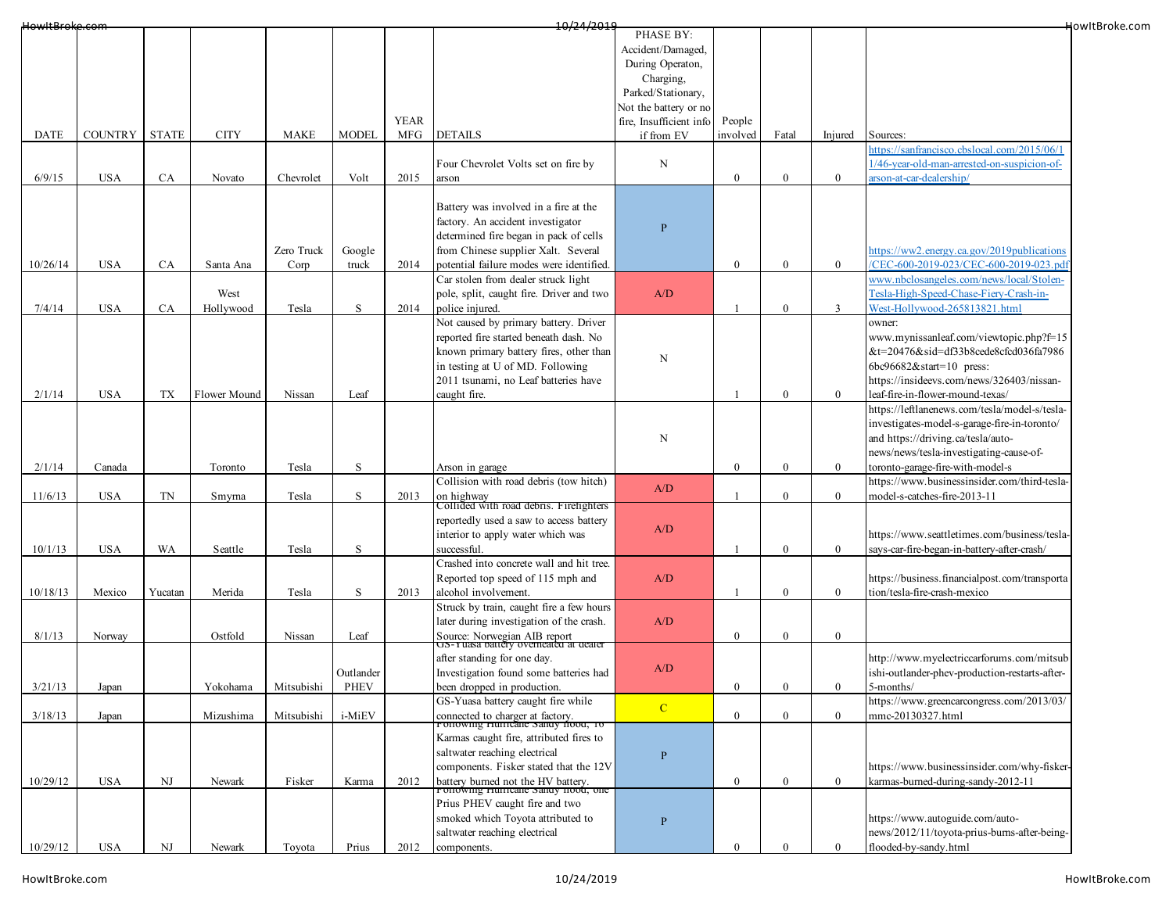| HowItBroke.com |                |              |              |             |              |             | 10/24/2019                                                                |                         |                |                  |                  |                                                | HowItBroke.com |
|----------------|----------------|--------------|--------------|-------------|--------------|-------------|---------------------------------------------------------------------------|-------------------------|----------------|------------------|------------------|------------------------------------------------|----------------|
|                |                |              |              |             |              |             |                                                                           | PHASE BY:               |                |                  |                  |                                                |                |
|                |                |              |              |             |              |             |                                                                           | Accident/Damaged,       |                |                  |                  |                                                |                |
|                |                |              |              |             |              |             |                                                                           | During Operaton,        |                |                  |                  |                                                |                |
|                |                |              |              |             |              |             |                                                                           | Charging,               |                |                  |                  |                                                |                |
|                |                |              |              |             |              |             |                                                                           | Parked/Stationary,      |                |                  |                  |                                                |                |
|                |                |              |              |             |              |             |                                                                           | Not the battery or no   |                |                  |                  |                                                |                |
|                |                |              |              |             |              | <b>YEAR</b> |                                                                           | fire, Insufficient info | People         |                  |                  |                                                |                |
| <b>DATE</b>    | <b>COUNTRY</b> | <b>STATE</b> | <b>CITY</b>  | <b>MAKE</b> | <b>MODEL</b> | MFG         | <b>DETAILS</b>                                                            | if from EV              | involved       | Fatal            | Injured          | Sources:                                       |                |
|                |                |              |              |             |              |             |                                                                           |                         |                |                  |                  | ttps://sanfrancisco.cbslocal.com/2015/06/1     |                |
|                |                |              |              |             |              |             | Four Chevrolet Volts set on fire by                                       | N                       |                |                  |                  | /46-year-old-man-arrested-on-suspicion-of-     |                |
| 6/9/15         | <b>USA</b>     | CA           | Novato       | Chevrolet   | Volt         | 2015        | arson                                                                     |                         | $\mathbf{0}$   | $\boldsymbol{0}$ | $\mathbf{0}$     | arson-at-car-dealership/                       |                |
|                |                |              |              |             |              |             |                                                                           |                         |                |                  |                  |                                                |                |
|                |                |              |              |             |              |             | Battery was involved in a fire at the                                     |                         |                |                  |                  |                                                |                |
|                |                |              |              |             |              |             | factory. An accident investigator                                         | $\mathbf{P}$            |                |                  |                  |                                                |                |
|                |                |              |              |             |              |             | determined fire began in pack of cells                                    |                         |                |                  |                  |                                                |                |
|                |                |              |              | Zero Truck  | Google       |             | from Chinese supplier Xalt. Several                                       |                         |                |                  |                  | https://ww2.energy.ca.gov/2019publications     |                |
| 10/26/14       | <b>USA</b>     | CA           | Santa Ana    | Corp        | truck        | 2014        | potential failure modes were identified.                                  |                         | $\mathbf{0}$   | $\boldsymbol{0}$ | $\mathbf{0}$     | /CEC-600-2019-023/CEC-600-2019-023.pdf         |                |
|                |                |              |              |             |              |             | Car stolen from dealer struck light                                       |                         |                |                  |                  | www.nbclosangeles.com/news/local/Stolen-       |                |
|                |                |              | West         |             |              |             | pole, split, caught fire. Driver and two                                  | A/D                     |                |                  |                  | Tesla-High-Speed-Chase-Fiery-Crash-in-         |                |
| 7/4/14         | <b>USA</b>     | CA           | Hollywood    | Tesla       | $\, {\bf S}$ | 2014        | police injured.                                                           |                         |                | $\overline{0}$   | $\overline{3}$   | West-Hollywood-265813821.html                  |                |
|                |                |              |              |             |              |             | Not caused by primary battery. Driver                                     |                         |                |                  |                  | owner:                                         |                |
|                |                |              |              |             |              |             | reported fire started beneath dash. No                                    |                         |                |                  |                  | www.mynissanleaf.com/viewtopic.php?f=15        |                |
|                |                |              |              |             |              |             | known primary battery fires, other than                                   |                         |                |                  |                  | &t=20476&sid=df33b8cede8cfcd036fa7986          |                |
|                |                |              |              |             |              |             | in testing at U of MD. Following                                          | N                       |                |                  |                  | 6bc96682&start=10 press:                       |                |
|                |                |              |              |             |              |             | 2011 tsunami, no Leaf batteries have                                      |                         |                |                  |                  | https://insideevs.com/news/326403/nissan-      |                |
| 2/1/14         | <b>USA</b>     | TX           | Flower Mound | Nissan      | Leaf         |             | caught fire.                                                              |                         |                | $\overline{0}$   | $\overline{0}$   | leaf-fire-in-flower-mound-texas/               |                |
|                |                |              |              |             |              |             |                                                                           |                         |                |                  |                  | https://leftlanenews.com/tesla/model-s/tesla-  |                |
|                |                |              |              |             |              |             |                                                                           |                         |                |                  |                  | investigates-model-s-garage-fire-in-toronto/   |                |
|                |                |              |              |             |              |             |                                                                           | N                       |                |                  |                  | and https://driving.ca/tesla/auto-             |                |
|                |                |              |              |             |              |             |                                                                           |                         |                |                  |                  | news/news/tesla-investigating-cause-of-        |                |
| 2/1/14         | Canada         |              | Toronto      | Tesla       | $\, {\bf S}$ |             | Arson in garage                                                           |                         | $\mathbf{0}$   | $\boldsymbol{0}$ | $\mathbf{0}$     | toronto-garage-fire-with-model-s               |                |
|                |                |              |              |             |              |             | Collision with road debris (tow hitch)                                    |                         |                |                  |                  | https://www.businessinsider.com/third-tesla-   |                |
| 11/6/13        | <b>USA</b>     | TN           | Smyma        | Tesla       | $\mathbf S$  | 2013        | on highway                                                                | A/D                     |                | $\overline{0}$   | $\overline{0}$   | model-s-catches-fire-2013-11                   |                |
|                |                |              |              |             |              |             | Collided with road debris. Firefighters                                   |                         |                |                  |                  |                                                |                |
|                |                |              |              |             |              |             | reportedly used a saw to access battery                                   |                         |                |                  |                  |                                                |                |
|                |                |              |              |             |              |             | interior to apply water which was                                         | A/D                     |                |                  |                  | https://www.seattletimes.com/business/tesla-   |                |
| 10/1/13        | <b>USA</b>     | WA           | Seattle      | Tesla       | S            |             | successful.                                                               |                         |                | $\bf{0}$         | $\mathbf{0}$     | says-car-fire-began-in-battery-after-crash/    |                |
|                |                |              |              |             |              |             | Crashed into concrete wall and hit tree.                                  |                         |                |                  |                  |                                                |                |
|                |                |              |              |             |              |             | Reported top speed of 115 mph and                                         | A/D                     |                |                  |                  | https://business.financialpost.com/transporta  |                |
| 10/18/13       | Mexico         | Yucatan      | Merida       | Tesla       | $\, {\bf S}$ | 2013        | alcohol involvement.                                                      |                         |                | $\overline{0}$   | $\boldsymbol{0}$ | tion/tesla-fire-crash-mexico                   |                |
|                |                |              |              |             |              |             | Struck by train, caught fire a few hours                                  |                         |                |                  |                  |                                                |                |
|                |                |              |              |             |              |             | later during investigation of the crash.                                  | A/D                     |                |                  |                  |                                                |                |
| 8/1/13         | Norway         |              | Ostfold      | Nissan      | Leaf         |             | Source: Norwegian AIB report<br>US-1 uasa battery overneated at dealer    |                         | $\mathbf{0}$   | $\boldsymbol{0}$ | $\bf{0}$         |                                                |                |
|                |                |              |              |             |              |             |                                                                           |                         |                |                  |                  | http://www.myelectriccarforums.com/mitsub      |                |
|                |                |              |              |             |              |             | after standing for one day.                                               | A/D                     |                |                  |                  |                                                |                |
|                |                |              |              |             | Outlander    |             | Investigation found some batteries had                                    |                         |                |                  |                  | ishi-outlander-phev-production-restarts-after- |                |
| 3/21/13        | Japan          |              | Yokohama     | Mitsubishi  | PHEV         |             | been dropped in production.                                               |                         | $\overline{0}$ | $\boldsymbol{0}$ | $\overline{0}$   | 5-months/                                      |                |
|                |                |              |              |             |              |             | GS-Yuasa battery caught fire while                                        | $\overline{C}$          |                |                  |                  | https://www.greencarcongress.com/2013/03/      |                |
| 3/18/13        | Japan          |              | Mizushima    | Mitsubishi  | i-MiEV       |             | connected to charger at factory.<br>TOHOWING HUITICANE SANGY HOOG, 10     |                         | $\mathbf{0}$   | $\overline{0}$   | $\mathbf{0}$     | mmc-20130327.html                              |                |
|                |                |              |              |             |              |             | Karmas caught fire, attributed fires to                                   |                         |                |                  |                  |                                                |                |
|                |                |              |              |             |              |             | saltwater reaching electrical                                             | $\overline{P}$          |                |                  |                  |                                                |                |
|                |                |              |              |             |              |             | components. Fisker stated that the 12V                                    |                         |                |                  |                  | https://www.businessinsider.com/why-fisker-    |                |
| 10/29/12       | <b>USA</b>     | NJ           | Newark       | Fisker      | Karma        | 2012        | battery burned not the HV battery.<br>Fonowing Flurricane Sandy nood, one |                         | $\mathbf{0}$   | $\mathbf{0}$     | $\mathbf{0}$     | karmas-burned-during-sandy-2012-11             |                |
|                |                |              |              |             |              |             |                                                                           |                         |                |                  |                  |                                                |                |
|                |                |              |              |             |              |             | Prius PHEV caught fire and two                                            |                         |                |                  |                  |                                                |                |
|                |                |              |              |             |              |             | smoked which Toyota attributed to                                         | $\mathbf{P}$            |                |                  |                  | https://www.autoguide.com/auto-                |                |
|                |                |              |              |             |              |             | saltwater reaching electrical                                             |                         |                |                  |                  | news/2012/11/toyota-prius-burns-after-being-   |                |
| 10/29/12       | <b>USA</b>     | NJ           | Newark       | Toyota      | Prius        | 2012        | components.                                                               |                         | $\theta$       | $\overline{0}$   | $\mathbf{0}$     | flooded-by-sandy.html                          |                |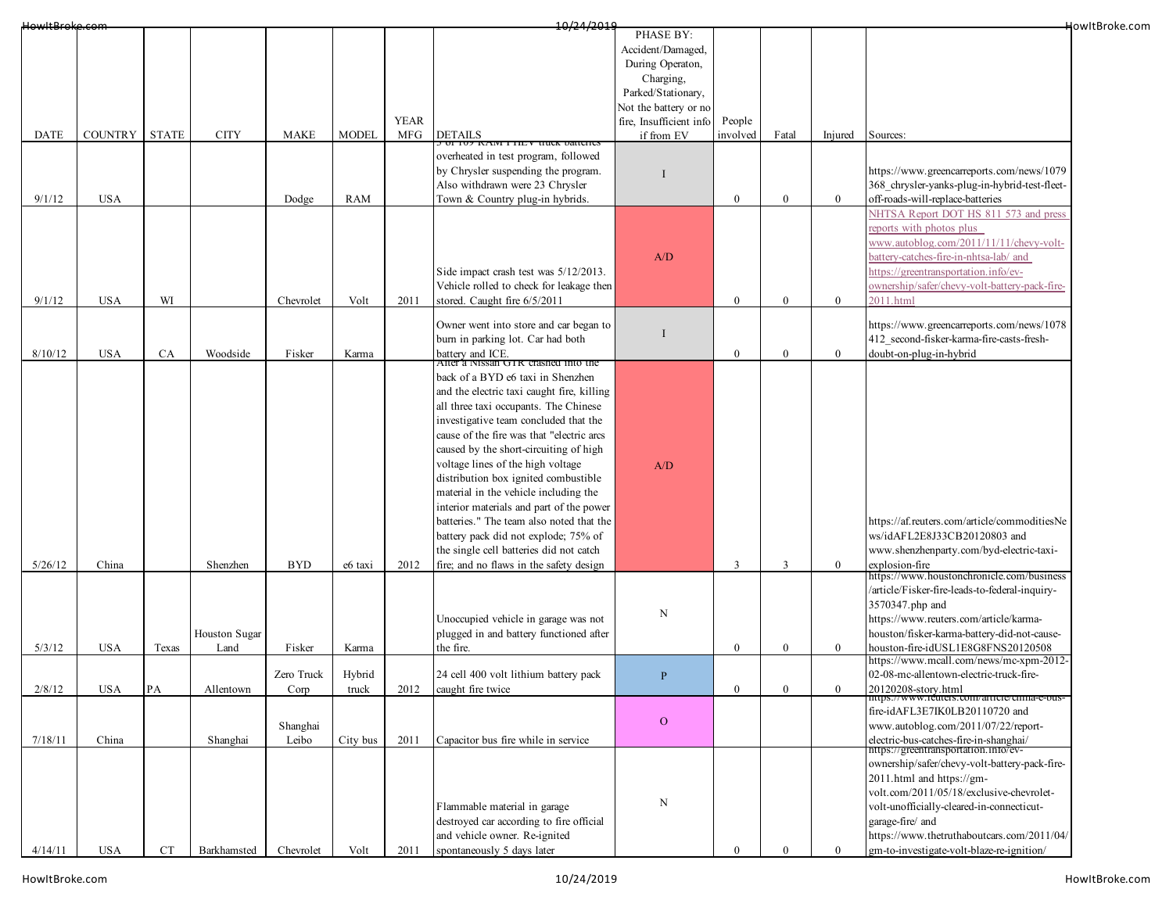| HowItBroke.com |                |              |                       |                    |                 |             | 10/24/2019                                                                                                                                                                                                                                                                                                                                                                                                                                                                                                                                                                                                                                  |                                                                                                                |              |                |                |                                                                                                                                                                                                                                                                                    | HowItBroke.com |
|----------------|----------------|--------------|-----------------------|--------------------|-----------------|-------------|---------------------------------------------------------------------------------------------------------------------------------------------------------------------------------------------------------------------------------------------------------------------------------------------------------------------------------------------------------------------------------------------------------------------------------------------------------------------------------------------------------------------------------------------------------------------------------------------------------------------------------------------|----------------------------------------------------------------------------------------------------------------|--------------|----------------|----------------|------------------------------------------------------------------------------------------------------------------------------------------------------------------------------------------------------------------------------------------------------------------------------------|----------------|
|                |                |              |                       |                    |                 |             |                                                                                                                                                                                                                                                                                                                                                                                                                                                                                                                                                                                                                                             | PHASE BY:<br>Accident/Damaged,<br>During Operaton,<br>Charging,<br>Parked/Stationary,<br>Not the battery or no |              |                |                |                                                                                                                                                                                                                                                                                    |                |
|                |                |              |                       |                    |                 | <b>YEAR</b> |                                                                                                                                                                                                                                                                                                                                                                                                                                                                                                                                                                                                                                             | fire, Insufficient info                                                                                        | People       |                |                |                                                                                                                                                                                                                                                                                    |                |
| <b>DATE</b>    | <b>COUNTRY</b> | <b>STATE</b> | <b>CITY</b>           | <b>MAKE</b>        | <b>MODEL</b>    | MFG         | <b>DETAILS</b>                                                                                                                                                                                                                                                                                                                                                                                                                                                                                                                                                                                                                              | if from EV                                                                                                     | involved     | Fatal          | Injured        | Sources:                                                                                                                                                                                                                                                                           |                |
| 9/1/12         | <b>USA</b>     |              |                       | Dodge              | RAM             |             | overheated in test program, followed<br>by Chrysler suspending the program.<br>Also withdrawn were 23 Chrysler<br>Town & Country plug-in hybrids.                                                                                                                                                                                                                                                                                                                                                                                                                                                                                           |                                                                                                                | $\theta$     | $\overline{0}$ | $\overline{0}$ | https://www.greencarreports.com/news/1079<br>368_chrysler-yanks-plug-in-hybrid-test-fleet-<br>off-roads-will-replace-batteries                                                                                                                                                     |                |
| 9/1/12         | <b>USA</b>     | WI           |                       | Chevrolet          | Volt            | 2011        | Side impact crash test was 5/12/2013.<br>Vehicle rolled to check for leakage then<br>stored. Caught fire 6/5/2011                                                                                                                                                                                                                                                                                                                                                                                                                                                                                                                           | A/D                                                                                                            | $\theta$     | $\overline{0}$ | $\bf{0}$       | NHTSA Report DOT HS 811 573 and press<br>reports with photos plus<br>www.autoblog.com/2011/11/11/chevy-volt-<br>battery-catches-fire-in-nhtsa-lab/ and<br>nttps://greentransportation.info/ev-<br>ownership/safer/chevy-volt-battery-pack-fire-<br>2011.html                       |                |
| 8/10/12        | <b>USA</b>     | CA           | Woodside              | Fisker             | Karma           |             | Owner went into store and car began to<br>burn in parking lot. Car had both<br>battery and ICE.                                                                                                                                                                                                                                                                                                                                                                                                                                                                                                                                             | $\blacksquare$                                                                                                 | $\theta$     | $\overline{0}$ | $\mathbf{0}$   | https://www.greencarreports.com/news/1078<br>412 second-fisker-karma-fire-casts-fresh-<br>doubt-on-plug-in-hybrid                                                                                                                                                                  |                |
| 5/26/12        | China          |              | Shenzhen              | <b>BYD</b>         | e6 taxi         | 2012        | After a Nissan GTR crashed into the<br>back of a BYD e6 taxi in Shenzhen<br>and the electric taxi caught fire, killing<br>all three taxi occupants. The Chinese<br>investigative team concluded that the<br>cause of the fire was that "electric arcs<br>caused by the short-circuiting of high<br>voltage lines of the high voltage<br>distribution box ignited combustible<br>material in the vehicle including the<br>interior materials and part of the power<br>batteries." The team also noted that the<br>battery pack did not explode; 75% of<br>the single cell batteries did not catch<br>fire; and no flaws in the safety design | A/D                                                                                                            | $\mathbf{3}$ | 3              | $\overline{0}$ | https://af.reuters.com/article/commoditiesNe<br>ws/idAFL2E8J33CB20120803 and<br>www.shenzhenparty.com/byd-electric-taxi-<br>explosion-fire                                                                                                                                         |                |
| 5/3/12         | <b>USA</b>     | Texas        | Houston Sugar<br>Land | Fisker             | Karma           |             | Unoccupied vehicle in garage was not<br>plugged in and battery functioned after<br>the fire.                                                                                                                                                                                                                                                                                                                                                                                                                                                                                                                                                | N                                                                                                              | $\theta$     | $\bf{0}$       | $\overline{0}$ | https://www.houstonchronicle.com/business<br>/article/Fisker-fire-leads-to-federal-inquiry-<br>3570347.php and<br>https://www.reuters.com/article/karma-<br>houston/fisker-karma-battery-did-not-cause-<br>houston-fire-idUSL1E8G8FNS20120508                                      |                |
|                |                |              |                       |                    |                 |             |                                                                                                                                                                                                                                                                                                                                                                                                                                                                                                                                                                                                                                             |                                                                                                                |              |                |                | https://www.mcall.com/news/mc-xpm-2012-<br>02-08-mc-allentown-electric-truck-fire-                                                                                                                                                                                                 |                |
| 2/8/12         | USA            | PA           | Allentown             | Zero Truck<br>Corp | Hybrid<br>truck | 2012        | 24 cell 400 volt lithium battery pack<br>caught fire twice                                                                                                                                                                                                                                                                                                                                                                                                                                                                                                                                                                                  | $\, {\bf P}$                                                                                                   | 0            | $\bf{0}$       | $\bf{0}$       | 20120208-story.html                                                                                                                                                                                                                                                                |                |
| 7/18/11        | China          |              | Shanghai              | Shanghai<br>Leibo  | City bus        | 2011        | Capacitor bus fire while in service                                                                                                                                                                                                                                                                                                                                                                                                                                                                                                                                                                                                         | $\mathbf{O}$                                                                                                   |              |                |                | nups://www.reuters.com/article/cmna-e-bus-<br>fire-idAFL3E7IK0LB20110720 and<br>www.autoblog.com/2011/07/22/report-<br>electric-bus-catches-fire-in-shanghai/<br>https://greentransportation.info/ev-                                                                              |                |
| 4/14/11        | <b>USA</b>     | CT           | Barkhamsted           | Chevrolet          | Volt            | 2011        | Flammable material in garage<br>destroyed car according to fire official<br>and vehicle owner. Re-ignited<br>spontaneously 5 days later                                                                                                                                                                                                                                                                                                                                                                                                                                                                                                     | ${\bf N}$                                                                                                      |              |                | $\overline{0}$ | ownership/safer/chevy-volt-battery-pack-fire-<br>2011.html and https://gm-<br>volt.com/2011/05/18/exclusive-chevrolet-<br>volt-unofficially-cleared-in-connecticut-<br>garage-fire/ and<br>https://www.thetruthaboutcars.com/2011/04/<br>gm-to-investigate-volt-blaze-re-ignition/ |                |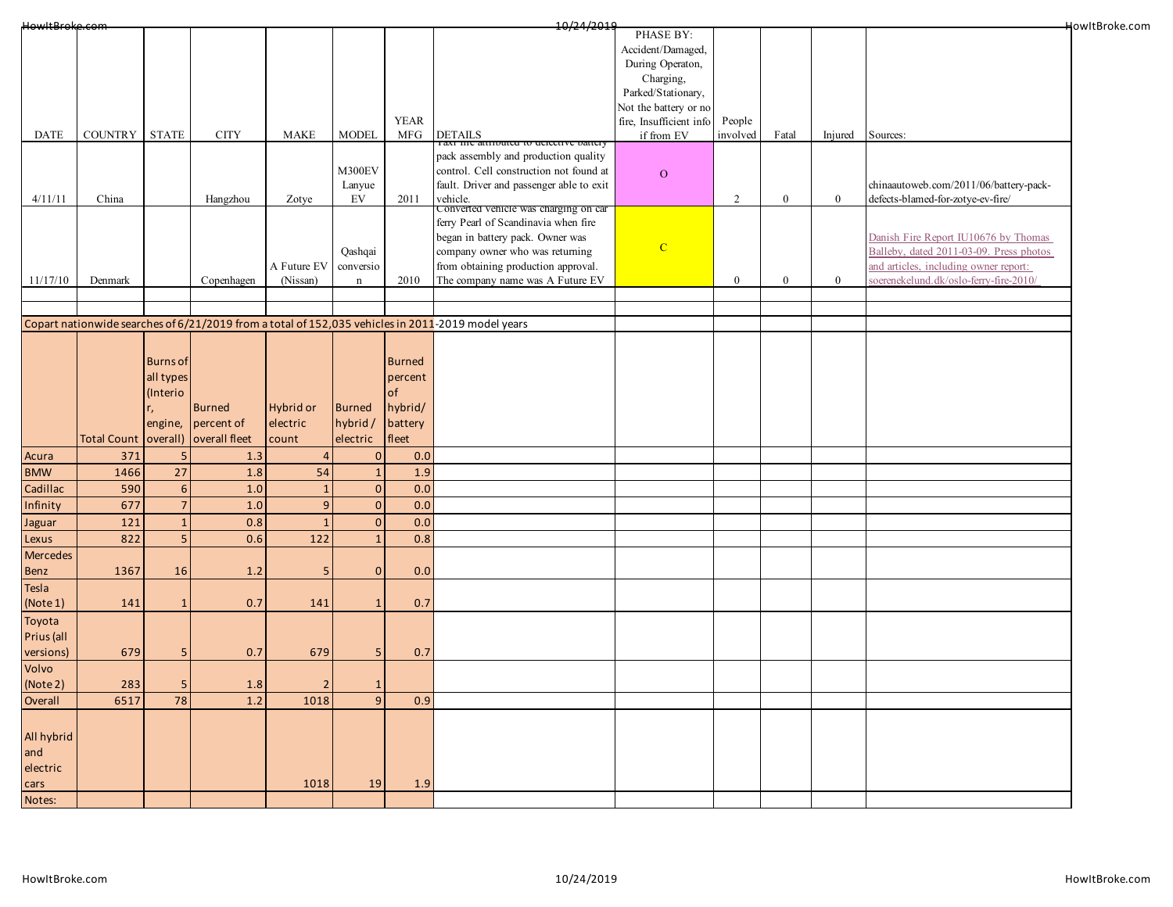| HowItBroke.com |                      |                 |               |                |                |               | 10/24/2019                                                                                        |                         |              |          |                |                                         | HowItBroke.com |
|----------------|----------------------|-----------------|---------------|----------------|----------------|---------------|---------------------------------------------------------------------------------------------------|-------------------------|--------------|----------|----------------|-----------------------------------------|----------------|
|                |                      |                 |               |                |                |               |                                                                                                   | PHASE BY:               |              |          |                |                                         |                |
|                |                      |                 |               |                |                |               |                                                                                                   | Accident/Damaged,       |              |          |                |                                         |                |
|                |                      |                 |               |                |                |               |                                                                                                   | During Operaton,        |              |          |                |                                         |                |
|                |                      |                 |               |                |                |               |                                                                                                   | Charging,               |              |          |                |                                         |                |
|                |                      |                 |               |                |                |               |                                                                                                   | Parked/Stationary,      |              |          |                |                                         |                |
|                |                      |                 |               |                |                |               |                                                                                                   | Not the battery or no   |              |          |                |                                         |                |
|                |                      |                 |               |                |                | <b>YEAR</b>   |                                                                                                   | fire, Insufficient info | People       |          |                |                                         |                |
| <b>DATE</b>    | COUNTRY STATE        |                 | <b>CITY</b>   | <b>MAKE</b>    | <b>MODEL</b>   | MFG           | DETAILS<br>Taxi me autrouted to detective battery                                                 | if from EV              | involved     | Fatal    | Injured        | Sources:                                |                |
|                |                      |                 |               |                |                |               | pack assembly and production quality                                                              |                         |              |          |                |                                         |                |
|                |                      |                 |               |                | M300EV         |               | control. Cell construction not found at                                                           |                         |              |          |                |                                         |                |
|                |                      |                 |               |                | Lanyue         |               | fault. Driver and passenger able to exit                                                          | $\mathbf{O}$            |              |          |                | chinaautoweb.com/2011/06/battery-pack-  |                |
| 4/11/11        | China                |                 | Hangzhou      | Zotye          | EV             | 2011          |                                                                                                   |                         | 2            | $\bf{0}$ | $\mathbf{0}$   | defects-blamed-for-zotye-ev-fire/       |                |
|                |                      |                 |               |                |                |               | vehicle.<br>Converted vehicle was charging on car                                                 |                         |              |          |                |                                         |                |
|                |                      |                 |               |                |                |               | ferry Pearl of Scandinavia when fire                                                              |                         |              |          |                |                                         |                |
|                |                      |                 |               |                |                |               | began in battery pack. Owner was                                                                  |                         |              |          |                | Danish Fire Report IU10676 by Thomas    |                |
|                |                      |                 |               |                | Qashqai        |               | company owner who was returning                                                                   | $\mathbf{C}$            |              |          |                | Balleby, dated 2011-03-09. Press photos |                |
|                |                      |                 |               | A Future EV    | conversio      |               | from obtaining production approval.                                                               |                         |              |          |                | and articles, including owner report:   |                |
| 11/17/10       | Denmark              |                 | Copenhagen    | (Nissan)       | $\mathbf n$    | 2010          | The company name was A Future EV                                                                  |                         | $\mathbf{0}$ | $\bf{0}$ | $\overline{0}$ | soerenekelund.dk/oslo-ferry-fire-2010/  |                |
|                |                      |                 |               |                |                |               |                                                                                                   |                         |              |          |                |                                         |                |
|                |                      |                 |               |                |                |               |                                                                                                   |                         |              |          |                |                                         |                |
|                |                      |                 |               |                |                |               | Copart nationwide searches of 6/21/2019 from a total of 152,035 vehicles in 2011-2019 model years |                         |              |          |                |                                         |                |
|                |                      |                 |               |                |                |               |                                                                                                   |                         |              |          |                |                                         |                |
|                |                      |                 |               |                |                |               |                                                                                                   |                         |              |          |                |                                         |                |
|                |                      | <b>Burns of</b> |               |                |                | <b>Burned</b> |                                                                                                   |                         |              |          |                |                                         |                |
|                |                      | all types       |               |                |                | percent       |                                                                                                   |                         |              |          |                |                                         |                |
|                |                      | (Interio        |               |                |                | of            |                                                                                                   |                         |              |          |                |                                         |                |
|                |                      |                 | <b>Burned</b> | Hybrid or      | Burned         | hybrid/       |                                                                                                   |                         |              |          |                |                                         |                |
|                |                      | engine,         | percent of    | electric       | hybrid/        | battery       |                                                                                                   |                         |              |          |                |                                         |                |
|                | Total Count overall) |                 | overall fleet | count          |                | fleet         |                                                                                                   |                         |              |          |                |                                         |                |
|                |                      |                 |               |                | electric       |               |                                                                                                   |                         |              |          |                |                                         |                |
| Acura          | 371                  | 5               | 1.3           |                | $\Omega$       | 0.0           |                                                                                                   |                         |              |          |                |                                         |                |
| <b>BMW</b>     | 1466                 | 27              | 1.8           | 54             | $\mathbf{1}$   | 1.9           |                                                                                                   |                         |              |          |                |                                         |                |
| Cadillac       | 590                  | $6\phantom{1}6$ | 1.0           | $\mathbf{1}$   | $\pmb{0}$      | 0.0           |                                                                                                   |                         |              |          |                |                                         |                |
| Infinity       | 677                  | $\overline{7}$  | 1.0           | $\overline{9}$ | $\mathbf 0$    | 0.0           |                                                                                                   |                         |              |          |                |                                         |                |
| Jaguar         | 121                  | $\mathbf{1}$    | 0.8           | $\mathbf{1}$   | $\overline{0}$ | 0.0           |                                                                                                   |                         |              |          |                |                                         |                |
|                | 822                  | 5               | 0.6           | 122            | $\mathbf{1}$   | 0.8           |                                                                                                   |                         |              |          |                |                                         |                |
| Lexus          |                      |                 |               |                |                |               |                                                                                                   |                         |              |          |                |                                         |                |
| Mercedes       |                      |                 |               |                |                |               |                                                                                                   |                         |              |          |                |                                         |                |
| Benz           | 1367                 | 16              | 1.2           | 5              | $\mathbf 0$    | 0.0           |                                                                                                   |                         |              |          |                |                                         |                |
| Tesla          |                      |                 |               |                |                |               |                                                                                                   |                         |              |          |                |                                         |                |
| (Note 1)       | 141                  |                 | 0.7           | 141            | $\mathbf{1}$   | 0.7           |                                                                                                   |                         |              |          |                |                                         |                |
| Toyota         |                      |                 |               |                |                |               |                                                                                                   |                         |              |          |                |                                         |                |
| Prius (all     |                      |                 |               |                |                |               |                                                                                                   |                         |              |          |                |                                         |                |
| versions)      | 679                  | 5               | 0.7           | 679            | 5              | 0.7           |                                                                                                   |                         |              |          |                |                                         |                |
|                |                      |                 |               |                |                |               |                                                                                                   |                         |              |          |                |                                         |                |
| Volvo          |                      |                 |               |                |                |               |                                                                                                   |                         |              |          |                |                                         |                |
| (Note 2)       | 283                  | -5              | 1.8           | $\overline{2}$ | $\mathbf{1}$   |               |                                                                                                   |                         |              |          |                |                                         |                |
| Overall        | 6517                 | 78              | 1.2           | 1018           | 9              | 0.9           |                                                                                                   |                         |              |          |                |                                         |                |
|                |                      |                 |               |                |                |               |                                                                                                   |                         |              |          |                |                                         |                |
| All hybrid     |                      |                 |               |                |                |               |                                                                                                   |                         |              |          |                |                                         |                |
|                |                      |                 |               |                |                |               |                                                                                                   |                         |              |          |                |                                         |                |
| and            |                      |                 |               |                |                |               |                                                                                                   |                         |              |          |                |                                         |                |
| electric       |                      |                 |               |                |                |               |                                                                                                   |                         |              |          |                |                                         |                |
| cars           |                      |                 |               | 1018           | 19             | 1.9           |                                                                                                   |                         |              |          |                |                                         |                |
| Notes:         |                      |                 |               |                |                |               |                                                                                                   |                         |              |          |                |                                         |                |